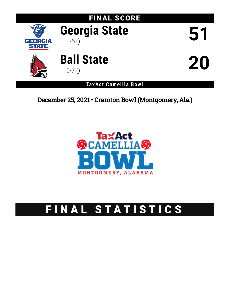

December 25, 2021 • Cramton Bowl (Montgomery, Ala.)



# FINAL STATISTICS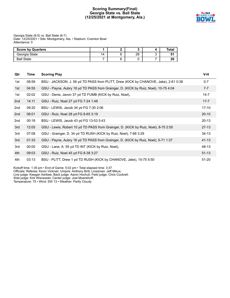# **Scoring Summary(Final) Georgia State vs. Ball State (12/25/2021 at Montgomery, Ala.)**



Georgia State (8-5) vs. Ball State (6-7) Date: 12/25/2021 • Site: Montgomery, Ala. • Stadium: Cramton Bowl Attendance: 0

| <b>Score by Quarters</b> |     |    | Tota. |
|--------------------------|-----|----|-------|
| Georgia State            | 14. | 28 |       |
| <b>Ball State</b>        |     |    | 20    |

| Qtr | Time  | <b>Scoring Play</b>                                                                 | V-H       |
|-----|-------|-------------------------------------------------------------------------------------|-----------|
| 1st | 08:59 | BSU - JACKSON, J. 56 yd TD PASS from PLITT, Drew (KICK by CHANOVE, Jake), 2-61 0:38 | $0 - 7$   |
| 1st | 04:55 | GSU - Payne, Aubry 18 yd TD PASS from Grainger, D. (KICK by Ruiz, Noel), 10-75 4:04 | $7 - 7$   |
| 1st | 02:02 | GSU - Denis, Javon 37 yd TD FUMB (KICK by Ruiz, Noel),                              | $14 - 7$  |
| 2nd | 14:11 | GSU - Ruiz, Noel 27 yd FG 7-24 1:48                                                 | $17 - 7$  |
| 2nd | 09:20 | BSU - LEWIS, Jacob 34 yd FG 7-30 2:06                                               | $17-10$   |
| 2nd | 06:01 | GSU - Ruiz, Noel 28 yd FG 8-65 3:19                                                 | $20 - 10$ |
| 2nd | 00:18 | BSU - LEWIS, Jacob 43 yd FG 13-53 5:43                                              | $20 - 13$ |
| 3rd | 12:05 | GSU - Lewis, Robert 10 yd TD PASS from Grainger, D. (KICK by Ruiz, Noel), 8-75 2:55 | $27-13$   |
| 3rd | 07:08 | GSU - Grainger, D. 34 yd TD RUSH (KICK by Ruiz, Noel), 7-68 3:29                    | $34 - 13$ |
| 3rd | 01:33 | GSU - Payne, Aubry 16 yd TD PASS from Grainger, D. (KICK by Ruiz, Noel), 5-71 1:37  | $41 - 13$ |
| 3rd | 00:00 | GSU - Lane, A. 55 yd TD INT (KICK by Ruiz, Noel),                                   | 48-13     |
| 4th | 09:03 | GSU - Ruiz, Noel 45 yd FG 8-38 3:27                                                 | $51 - 13$ |
| 4th | 03:13 | BSU - PLITT, Drew 1 yd TD RUSH (KICK by CHANOVE, Jake), 15-75 5:50                  | $51 - 20$ |

Kickoff time: 1:35 pm • End of Game: 5:02 pm • Total elapsed time: 3:37 Officials: Referee: Kevin Vicknair; Umpire: Anthony Britt; Linesman: Jeff Mikus; Line judge: Keegan Ashbee; Back judge: Aaron Hochuli; Field judge: Chris Cockrell; Side judge: Kirk Wisnewski; Center judge: Joel Moenkhoff; Temperature: 75 • Wind: SW 13 • Weather: Partly Cloudy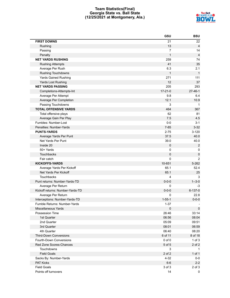# **Team Statistics(Final) Georgia State vs. Ball State (12/25/2021 at Montgomery, Ala.)**



|                                  | GSU            | <b>BSU</b>     |
|----------------------------------|----------------|----------------|
| <b>FIRST DOWNS</b>               | 21             | 22             |
| Rushing                          | 13             | $\overline{4}$ |
| Passing                          | $\overline{7}$ | 14             |
| Penalty                          | $\mathbf{1}$   | $\overline{4}$ |
| <b>NET YARDS RUSHING</b>         | 259            | 74             |
| <b>Rushing Attempts</b>          | 41             | 35             |
| Average Per Rush                 | 6.3            | 2.1            |
| <b>Rushing Touchdowns</b>        | $\mathbf{1}$   | $\mathbf{1}$   |
| <b>Yards Gained Rushing</b>      | 271            | 111            |
| Yards Lost Rushing               | 12             | 37             |
| <b>NET YARDS PASSING</b>         | 205            | 293            |
| Completions-Attempts-Int         | $17 - 21 - 0$  | $27 - 46 - 1$  |
| Average Per Attempt              | 9.8            | 6.4            |
| Average Per Completion           | 12.1           | 10.9           |
| Passing Touchdowns               | 3              | $\mathbf 1$    |
| <b>TOTAL OFFENSIVE YARDS</b>     | 464            | 367            |
| Total offensive plays            | 62             | 81             |
| Average Gain Per Play            | 7.5            | 4.5            |
| Fumbles: Number-Lost             | $0-0$          | $3 - 1$        |
| Penalties: Number-Yards          | $7 - 85$       | $3 - 32$       |
| <b>PUNTS-YARDS</b>               | $2 - 75$       | $3 - 120$      |
| Average Yards Per Punt           | 37.5           | 40.0           |
| Net Yards Per Punt               | 39.0           | 40.0           |
| Inside 20                        | $\pmb{0}$      | $\overline{c}$ |
| 50+ Yards                        | 0              | 0              |
| Touchbacks                       | 0              | $\pmb{0}$      |
| Fair catch                       | 0              | $\overline{2}$ |
| <b>KICKOFFS-YARDS</b>            | 10-651         | 5-262          |
| Average Yards Per Kickoff        | 65.1           | 52.4           |
| Net Yards Per Kickoff            | 65.1           | 25             |
| Touchbacks                       | 4              | 3              |
| Punt returns: Number-Yards-TD    | $0 - 0 - 0$    | $1 - 3 - 0$    |
| Average Per Return               | 0              | -3             |
| Kickoff returns: Number-Yards-TD | $0 - 0 - 0$    | $6 - 137 - 0$  |
| Average Per Return               | 0              | 22.8           |
| Interceptions: Number-Yards-TD   | $1 - 55 - 1$   | $0 - 0 - 0$    |
| Fumble Returns: Number-Yards     | $1 - 37$       |                |
| Miscellaneous Yards              | $\pmb{0}$      | $\mathbf 0$    |
| Possession Time                  | 26:46          | 33:14          |
| 1st Quarter                      | 06:56          | 08:04          |
| 2nd Quarter                      | 05:09          | 09:51          |
| 3rd Quarter                      | 08:01          | 06:59          |
| 4th Quarter                      | 06:40          | 08:20          |
| <b>Third-Down Conversions</b>    | 6 of 11        | 8 of 18        |
| Fourth-Down Conversions          | $0$ of $0$     | $1$ of $3$     |
| Red Zone Scores-Chances          | 5 of 5         | 2 of 2         |
| Touchdowns                       | 3              | 1              |
| <b>Field Goals</b>               | 2 of 2         | $1$ of $1$     |
| Sacks By: Number-Yards           | $4 - 32$       | $0-0$          |
| <b>PAT Kicks</b>                 | $6-6$          | $2 - 2$        |
| <b>Field Goals</b>               | 3 of 3         | $2$ of $3$     |
| Points off turnovers             | 14             | 0              |
|                                  |                |                |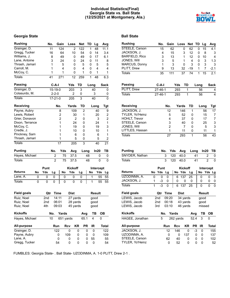# **Individual Statistics(Final) Georgia State vs. Ball State (12/25/2021 at Montgomery, Ala.)**

# **Georgia State Ball** State **Ball** State

| <b>Rushing</b>     |    | No.  |                | Gain        |       | Loss           |           | Net  | TD   |      | Lg        | Avg                     |
|--------------------|----|------|----------------|-------------|-------|----------------|-----------|------|------|------|-----------|-------------------------|
| Grainger, D.       |    |      | 11             | 124         |       |                | 2         | 122  |      | 1    | 48        | 11.1                    |
| Gregg, Tucker      |    |      | 16             | 64          |       |                | 10        | 54   |      | 0    | 14        | 3.4                     |
| Williams, J.       |    |      | 8              | 49          |       |                | 0         | 49   |      | 0    | 17        | 6.1                     |
| Lane, Antoine      |    |      | 3              | 24          |       |                | 0         | 24   |      | 0    | 11        | 8                       |
| Thrash, Jamari     |    |      | 1              |             | 5     |                | 0         | 5    |      | 0    | 5         | 5                       |
| Carroll, M.        |    |      | $\mathbf{1}$   |             | 4     |                | 0         | 4    |      | 0    | 4         | $\overline{4}$          |
| McCoy, C.          |    |      | 1              |             | 1     |                | 0         | 1    |      | 0    | 1         | 1                       |
| <b>Totals</b>      |    |      | 41             | 271         |       |                | 12        | 259  |      | 1    | 48        | 6.3                     |
| Passing            |    |      | $C-A-I$        |             |       | Yds            |           | TD   |      | Long |           | <b>Sack</b>             |
| Grainger, D.       |    |      | 15-19-0        |             |       | 203            |           | 3    |      | 40   |           | 0                       |
| Colasurdo, M.      |    |      | $2 - 2 - 0$    |             |       | $\overline{2}$ |           | 0    |      |      | 3         | 0                       |
| <b>Totals</b>      |    |      | $17 - 21 - 0$  |             |       | 205            |           | 3    |      | 40   |           | 0                       |
| Receiving          |    |      |                | No.         |       | Yards          |           | TD   |      |      | Long      | Tgt                     |
| Payne, Aubry       |    |      |                | 8           |       |                | 109       | 2    |      |      | 40        | 9                       |
| Lewis, Robert      |    |      |                | 2           |       |                | 30        | 1    |      |      | 20        | $\overline{c}$          |
| Grier, Donavon     |    |      |                | 2           |       |                | 2         | 0    |      |      | 3         | $\overline{2}$          |
| Dixon, Terrance    |    |      |                | 1           |       |                | 24        | 0    |      |      | 24        | 1                       |
| McCoy, C.          |    |      |                | 1           |       |                | 19        | 0    |      |      | 19        | 3                       |
| Credle, J.         |    |      |                | 1           |       |                | 10        | 0    |      |      | 10        | 1                       |
| Pinckney, Sam      |    |      |                | 1           |       |                | 6         | 0    |      |      | 6         | 1                       |
| Thrash, Jamari     |    |      |                | 1           |       |                | 5         | 0    |      |      | 5         | $\overline{\mathbf{c}}$ |
| <b>Totals</b>      |    |      |                | 17          |       |                | 205       | 3    |      |      | 40        | 21                      |
| <b>Punting</b>     |    |      | No.            |             | Yds   | Avg            |           |      | Long |      | In20      | TВ                      |
| Hayes, Michael     |    |      | 2              |             | 75    | 37.5           |           |      | 48   |      | 0         | 0                       |
| <b>Totals</b>      |    |      | $\overline{2}$ |             | 75    | 37.5           |           |      | 48   |      | 0         | $\mathbf 0$             |
|                    |    | Punt |                |             |       | Kickoff        |           |      |      |      | Intercept |                         |
| Returns            | No | Yds  | Lg             |             | No    | Yds            |           | Lg   |      | No   | Yds       | Lg                      |
|                    |    |      |                |             |       |                |           |      |      |      |           |                         |
| Lane, A.           | 0  | 0    | 0              |             | 0     |                | 0         | 0    |      | 1    | 55        | 55                      |
| Totals             | 0  | 0    | 0              |             | 0     |                | 0         | 0    |      | 1    | 55        | 55                      |
| <b>Field goals</b> |    | Qtr  |                | <b>Time</b> |       | Dist           |           |      |      |      | Result    |                         |
| Ruiz, Noel         |    | 2nd  |                | 14:11       |       | 27 yards       |           |      |      |      | good      |                         |
| Ruiz, Noel         |    | 2nd  |                | 06:01       |       | 28 yards       |           |      |      |      | good      |                         |
| Ruiz, Noel         |    | 4th  |                | 09:03       |       | 45 yards       |           |      |      |      | good      |                         |
|                    |    |      |                |             |       |                |           |      |      |      |           |                         |
| <b>Kickoffs</b>    |    |      | No.            |             | Yards |                |           | Avg  |      |      | TB        | ОB                      |
| Hayes, Michael     |    |      | 10             |             |       | 651 yards      |           | 65.1 |      | 4    |           | 0                       |
| All-purpose        |    |      | Run            |             |       | Rcv            | <b>KR</b> |      | PR   | IR   |           | <b>Total</b>            |
| Grainger, D.       |    |      |                | 122         |       | 0              |           | 0    | 0    |      | 0         | 122                     |
| Payne, Aubry       |    |      |                | 0           |       | 109            |           | 0    | 0    | 0    |           | 109                     |
| Lane, A.           |    |      |                | 0           |       | 0              |           | 0    | 0    | 55   |           | 55                      |
| Gregg, Tucker      |    |      |                | 54          |       | 0              |           | 0    | 0    | 0    |           | 54                      |

| <b>Rushing</b>        | No.                 |     | Gain           |           | Loss           | <b>Net</b> | TD   | Lg              | Avg         |
|-----------------------|---------------------|-----|----------------|-----------|----------------|------------|------|-----------------|-------------|
| STEELE, Carson        | 15                  |     | 62             |           | 0              | 62         | 0    | 15              | 4.1         |
| JACKSON, J.           |                     | 4   | 15             |           | 3              | 12         | 0    | 8               | 3           |
| <b>BARFIELD, Rico</b> |                     | 3   | 13             |           | 1              | 12         | 0    | 10              | 4           |
| JONES, Will           |                     | 3   | 5              |           | 1              | 4          | 0    | 3               | 1.3         |
| MARCUS, Donny         |                     | 1   | 3              |           | 0              | 3          | 0    | 3               | 3           |
| PLITT, Drew           |                     | 9   | 13             |           | 32             | -19        | 1    | 7               | -2.1        |
| Totals                | 35                  |     | 111            |           | 37             | 74         | 1    | 15              | 2.1         |
| <b>Passing</b>        | $C-A-I$             |     |                | Yds       |                | TD         | Long |                 | <b>Sack</b> |
| <b>PLITT, Drew</b>    | $27 - 46 - 1$       |     |                | 293       |                | 1          |      | 56              | 4           |
| <b>Totals</b>         | $27 - 46 - 1$       |     |                | 293       |                | 1          |      | 56              | 4           |
| <b>Receiving</b>      |                     |     | No.            |           | Yards          | TD         |      | Long            | Tgt         |
| JACKSON, J.           |                     |     | 12             |           | 146            | 1          |      | 56              | 17          |
| TYLER, Yo'Heinz       |                     |     | 5              |           | 52             | 0          |      | 15              | 7           |
| HOHLT, Trevor         |                     |     | 4              |           | 37             | 0          |      | 17              | 7           |
| STEELE, Carson        |                     |     | 3              |           | 40             | 0          |      | 25              | 3           |
| JONES, Will           |                     |     | $\overline{2}$ |           | 7              | 0          |      | 5               | 3           |
| LITTLES, Hassan       |                     |     | 1              |           | 11             | 0          |      | 11              | 1           |
| Totals                |                     |     | 27             |           | 293            | 1          |      | 56              | 43          |
| <b>Punting</b>        |                     | No. | Yds            |           | Avg            |            | Long | In20            | TВ          |
| SNYDER, Nathan        |                     | 3   | 120            |           | 40.0           |            | 41   |                 | 2<br>0      |
| <b>Totals</b>         |                     | 3   | 120            |           | 40.0           |            | 41   |                 | 2<br>0      |
|                       |                     |     |                |           |                |            |      |                 |             |
| <b>Returns</b>        | Punt                |     |                | No Yds    | <b>Kickoff</b> |            |      | Intercept<br>No |             |
| UZODINMA, A.          | No<br>Yds           | Lg  | 0              | 6         | 137            | Lg         |      |                 | Yds Lg<br>0 |
| JACKSON, J.           | 0<br>0<br>1<br>$-3$ |     | 0              | 0         | 0              | 25<br>0    |      | 0<br>0          | 0<br>0<br>0 |
| <b>Totals</b>         | ل.<br>د<br>1        |     | 0              | 6         | 137            | 25         |      | 0               | 0<br>0      |
|                       |                     |     |                |           |                |            |      |                 |             |
| <b>Field goals</b>    | Qtr                 |     | Time           |           | <b>Dist</b>    |            |      | <b>Result</b>   |             |
| LEWIS, Jacob          | 2nd                 |     | 09:20          |           | 34 yards       |            |      | good            |             |
| LEWIS, Jacob          | 2nd                 |     | 00:18          |           | 43 yards       |            |      | qood            |             |
| LEWIS, Jacob          | 3rd                 |     | 03:10          |           | 46 yards       |            |      | missed          |             |
| <b>Kickoffs</b>       |                     | No. | <b>Yards</b>   |           |                |            | Avg  | TВ              | ОВ          |
| HAGEE, Jonathan       | 5                   |     |                | 262 yards |                |            | 52.4 | 3               | 0           |
| All-purpose           |                     | Run |                | Rcv       |                | KR         | PR   | IR              | Total       |
| JACKSON, J.           |                     |     | 12             | 146       |                | 0          | $-3$ | 0               | 155         |
| UZODINMA, A.          |                     |     | 0              | 0         |                | 137        | 0    | 0               | 137         |
| STEELE, Carson        |                     |     | 62             | 40        |                | 0          | 0    | 0               | 102         |
| TYLER, Yo'Heinz       |                     |     | 0              | 52        |                | 0          | 0    | 0               | 52          |

FUMBLES: Georgia State- . Ball State- UZODINMA, A. 1-0 PLITT, Drew 2-1 .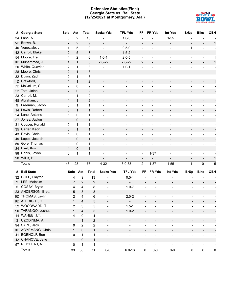# **Defensive Statistics(Final) Georgia State vs. Ball State (12/25/2021 at Montgomery, Ala.)**



| #              | Georgia State      | Solo           | Ast            |                           | <b>Total</b>            | Sacks-Yds                    | <b>TFL-Yds</b>               | FF                           | FR-Yds                       | Int-Yds                      | <b>BrUp</b>                  | <b>Blks</b>                  | QBH                      |
|----------------|--------------------|----------------|----------------|---------------------------|-------------------------|------------------------------|------------------------------|------------------------------|------------------------------|------------------------------|------------------------------|------------------------------|--------------------------|
|                | 34 Lane, A.        | 8              | $\overline{2}$ |                           | 10                      |                              | $1.0 - 3$                    |                              |                              | $1 - 55$                     |                              |                              |                          |
| 5D             | Brown, B.          | 7              | $\overline{2}$ |                           | 9                       | $\overline{a}$               |                              |                              |                              | $\overline{\phantom{a}}$     | $\overline{\phantom{a}}$     |                              | 1                        |
| 40             | Veneziale, J.      | 4              | 5              |                           | 9                       | $\overline{\phantom{a}}$     | $0.5 - 0$                    |                              |                              | $\overline{\phantom{a}}$     | 1                            | $\overline{a}$               |                          |
|                | 42 Carroll, Blake  | 2              | 5              |                           | $\overline{7}$          | $\overline{\phantom{a}}$     | $1.5 - 2$                    | $\overline{\phantom{a}}$     |                              |                              | $\overline{\phantom{a}}$     |                              |                          |
|                | 54 Moore, Tre      | 4              | 2              |                           | 6                       | $1.0 - 4$                    | $2.0 - 5$                    |                              |                              |                              | $\overline{\phantom{0}}$     |                              | 1                        |
| 9D             | Muhammad, J.       | 4              | $\mathbf{1}$   |                           | 5                       | $2.0 - 22$                   | $2.0 - 22$                   | $\overline{2}$               | $\overline{a}$               |                              | $\overline{\phantom{a}}$     | $\overline{\phantom{a}}$     | $\mathbf 1$              |
| 20             | White, Quavian     | $\overline{c}$ | 1              |                           | 3                       |                              | $1.0 - 1$                    |                              |                              |                              | $\blacksquare$               |                              |                          |
| 28             | Moore, Chris       | $\overline{c}$ | $\mathbf{1}$   |                           | 3                       | $\overline{a}$               | $\overline{\phantom{a}}$     | $\blacksquare$               |                              |                              | $\overline{\phantom{a}}$     | $\overline{\phantom{a}}$     |                          |
| 32             | Dixon, Zach        | $\overline{2}$ | 1              |                           | 3                       | $\overline{a}$               | $\overline{\phantom{a}}$     | $\overline{\phantom{a}}$     |                              |                              | $\overline{\phantom{a}}$     | $\overline{\phantom{a}}$     |                          |
| 1D             | Crawford, J.       | $\mathbf{1}$   | $\mathbf{1}$   |                           | $\overline{c}$          | $\overline{\phantom{m}}$     | $\overline{\phantom{a}}$     | $\overline{\phantom{a}}$     |                              |                              | $\overline{\phantom{a}}$     | $\overline{a}$               | 1                        |
| 7D             | McCollum, S.       | $\mathbf 2$    | 0              |                           | $\overline{\mathbf{c}}$ | $\overline{a}$               | $\overline{\phantom{a}}$     |                              |                              |                              | ÷                            |                              |                          |
| 22             | Tate, Jalen        | $\overline{2}$ | 0              |                           | $\overline{c}$          | $\overline{\phantom{a}}$     |                              |                              |                              |                              | $\overline{\phantom{a}}$     | $\overline{\phantom{a}}$     |                          |
| 23             | Carroll, M.        | 1              | 1              |                           | 2                       |                              |                              |                              |                              |                              | $\overline{a}$               |                              |                          |
|                | 48 Abraham, J.     | $\mathbf{1}$   | $\mathbf{1}$   |                           | $\overline{2}$          | $\overline{\phantom{a}}$     | $\overline{\phantom{a}}$     |                              |                              |                              | $\overline{\phantom{a}}$     | $\overline{\phantom{a}}$     |                          |
| 9              | Freeman, Jacob     | 0              | 1              |                           | 1                       |                              |                              |                              |                              |                              | $\overline{a}$               |                              |                          |
| 14             | Lewis, Robert      | 0              | $\mathbf{1}$   |                           | $\mathbf{1}$            | $\overline{\phantom{0}}$     |                              |                              |                              |                              | $\overline{\phantom{a}}$     |                              |                          |
| 24             | Lane, Antoine      | 1              | 0              |                           | 1                       | $\overline{a}$               | $\overline{\phantom{a}}$     | $\overline{\phantom{a}}$     |                              |                              | $\overline{\phantom{a}}$     | $\overline{\phantom{a}}$     |                          |
| 27             | Jones, Jaylon      | 1              | 0              |                           | $\mathbf{1}$            | $\overline{\phantom{m}}$     | $\overline{\phantom{a}}$     | $\overline{\phantom{a}}$     |                              |                              | $\overline{\phantom{a}}$     |                              |                          |
| 31             | Cooper, Ronald     | 0              | 1              |                           | 1                       | -                            | $\overline{\phantom{a}}$     | ÷                            |                              |                              | $\frac{1}{2}$                | $\overline{\phantom{a}}$     |                          |
| 35             | Carter, Keon       | 0              | $\mathbf{1}$   |                           | $\mathbf{1}$            | $\overline{\phantom{a}}$     | $\overline{\phantom{a}}$     | $\overline{\phantom{a}}$     |                              |                              | $\overline{\phantom{a}}$     | $\overline{\phantom{a}}$     |                          |
| 43             | Davis, Chris       | 1              | 0              |                           | 1                       | $\overline{\phantom{0}}$     |                              |                              |                              |                              | $\overline{a}$               |                              |                          |
| 49             | Lopez, Joseph      | 1              | 0              |                           | $\mathbf{1}$            | $\overline{\phantom{a}}$     | $\overline{\phantom{a}}$     | $\overline{\phantom{a}}$     |                              | $\overline{\phantom{a}}$     | $\overline{\phantom{a}}$     | $\overline{\phantom{a}}$     |                          |
| 59             | Gore, Thomas       | 1              | 0              |                           | 1                       |                              |                              |                              |                              |                              | ÷                            |                              |                          |
| 84             | Byrd, Kris         | $\mathbf{1}$   | 0              |                           | $\mathbf{1}$            | $\overline{a}$               | $\overline{\phantom{a}}$     | $\blacksquare$               | $\frac{1}{2}$                | $\overline{\phantom{a}}$     | $\overline{\phantom{a}}$     | $\overline{\phantom{a}}$     |                          |
| 98             | Denis, Javon       | 0              | 1              |                           | 1                       | $\overline{\phantom{0}}$     | $\overline{\phantom{a}}$     | $\blacksquare$               | $1 - 37$                     |                              | $\frac{1}{2}$                | $\overline{\phantom{a}}$     |                          |
|                | 90 Willis, H.      |                |                |                           |                         | $\overline{\phantom{0}}$     | $\overline{\phantom{a}}$     |                              | $\overline{a}$               | $\overline{\phantom{a}}$     | $\overline{\phantom{a}}$     | $\overline{\phantom{a}}$     | 1                        |
|                | <b>Totals</b>      | 48             | 28             |                           | 76                      | $4 - 32$                     | $8.0 - 33$                   | $\overline{2}$               | $1 - 37$                     | $1 - 55$                     | 1                            | $\mathbf 0$                  | 5                        |
|                |                    |                |                |                           |                         |                              |                              |                              |                              |                              |                              |                              |                          |
| #              | <b>Ball State</b>  |                | Solo Ast       |                           | <b>Total</b>            | Sacks-Yds                    | <b>TFL-Yds</b>               | FF                           | FR-Yds                       | Int-Yds                      | <b>BrUp</b>                  | <b>Blks</b>                  | QBH                      |
| 32             | COLL, Clayton      |                | 4              | 9                         | 13                      | $\overline{a}$               | $0.5 - 1$                    | $\overline{\phantom{a}}$     |                              | $\overline{\phantom{0}}$     |                              |                              |                          |
| $\mathbf{2}$   | LEE, Malcolm       |                | 7              | 2                         | 9                       | $\overline{\phantom{a}}$     | $\overline{\phantom{a}}$     | $\overline{\phantom{a}}$     |                              | $\overline{\phantom{m}}$     |                              |                              |                          |
| 5              | COSBY, Bryce       |                | 4              | 4                         | 8                       | $\overline{a}$               | $1.0 - 7$                    | $\overline{\phantom{a}}$     |                              | $\overline{\phantom{0}}$     |                              |                              |                          |
| 23.            | ANDERSON, Brett    |                | 5              | $\ensuremath{\mathsf{3}}$ | 8                       |                              |                              |                              |                              |                              |                              |                              |                          |
|                | 6D THOMAS, Jaylin  |                | $\overline{c}$ | 4                         | 6                       | $\overline{a}$               | $2.0 - 2$                    | $\overline{a}$               |                              | $\overline{a}$               |                              |                              |                          |
|                | 9D ALBRIGHT, C.    |                | 1              | 4                         | 5                       | $\qquad \qquad \blacksquare$ | $\blacksquare$               | $\qquad \qquad \blacksquare$ |                              |                              |                              |                              |                          |
|                | 52 WOODWARD, T.    |                | 2              | $\ensuremath{\mathsf{3}}$ | 5                       | $\overline{\phantom{a}}$     | $1.5 - 1$                    | $\overline{\phantom{a}}$     | $\overline{a}$               | $\overline{\phantom{0}}$     | $\overline{\phantom{a}}$     |                              |                          |
|                | 90 TARANGO, Joshua |                | $\mathbf{1}$   | 4                         | 5                       | $\overline{\phantom{0}}$     | $1.0 - 2$                    | $\qquad \qquad \blacksquare$ | $\overline{\phantom{0}}$     | $\overline{\phantom{0}}$     | $\overline{\phantom{a}}$     | $\overline{\phantom{0}}$     |                          |
|                | 14 WAHEE, J.T.     |                | 4              | 0                         | 4                       | $\overline{a}$               | $\overline{\phantom{0}}$     | $\qquad \qquad -$            | $\overline{\phantom{0}}$     | $\frac{1}{2}$                | $\qquad \qquad \blacksquare$ | $\overline{\phantom{0}}$     |                          |
| 3 <sup>1</sup> | UZODINMA, A.       |                | $\mathbf{1}$   | $\mathbf{1}$              | $\sqrt{2}$              | $\qquad \qquad \blacksquare$ | $\overline{\phantom{a}}$     | $\overline{\phantom{a}}$     | $\overline{\phantom{0}}$     | $\overline{\phantom{a}}$     | $\overline{\phantom{a}}$     | $\overline{\phantom{0}}$     |                          |
|                | 94 SAPE, Jack      |                | 0              | $\overline{2}$            | $\overline{c}$          | $\qquad \qquad \blacksquare$ | $\overline{\phantom{a}}$     | $\qquad \qquad -$            | $\overline{\phantom{0}}$     | $\overline{\phantom{a}}$     | $\overline{\phantom{a}}$     | $\overline{\phantom{a}}$     | $\overline{\phantom{a}}$ |
|                | 0D AGYEMANG, Chris |                | $\mathbf{1}$   | $\mathsf 0$               | $\mathbf{1}$            | -                            | $\qquad \qquad \blacksquare$ | $\qquad \qquad \blacksquare$ | -                            | $\overline{\phantom{0}}$     | -                            | $\overline{\phantom{0}}$     |                          |
|                | 41 EGENOLF, Ben    |                | 0              | $\mathbf{1}$              | 1                       | $\qquad \qquad -$            | $\qquad \qquad \blacksquare$ | $\qquad \qquad \blacksquare$ | $\frac{1}{2}$                | $\overline{\phantom{0}}$     | $\overline{\phantom{a}}$     | $\overline{\phantom{a}}$     |                          |
|                | 42 CHANOVE, Jake   |                | $\mathbf{1}$   | 0                         | 1                       | $\qquad \qquad \blacksquare$ | $\overline{\phantom{a}}$     | $\overline{\phantom{a}}$     | -                            | $\overline{\phantom{a}}$     | $\overline{\phantom{a}}$     | -                            |                          |
|                | 57 REICHERT, N.    |                | 0              | 1                         | 1                       | $\qquad \qquad \blacksquare$ | $\qquad \qquad \blacksquare$ | $\qquad \qquad \blacksquare$ | $\qquad \qquad \blacksquare$ | $\qquad \qquad \blacksquare$ | $\overline{\phantom{a}}$     | $\qquad \qquad \blacksquare$ | $\overline{\phantom{a}}$ |
|                | <b>Totals</b>      |                | 33             | 38                        | 71                      | $0-0$                        | $6.0 - 13$                   | 0                            | $0-0$                        | $0-0$                        | $\pmb{0}$                    | 0                            | $\pmb{0}$                |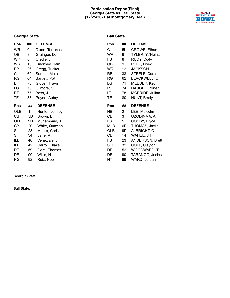# **Participation Report(Final) Georgia State vs. Ball State (12/25/2021 at Montgomery, Ala.)**



# **Georgia State**

| Pos        | ##  | <b>OFFENSE</b>  |
|------------|-----|-----------------|
| <b>WR</b>  | 0   | Dixon, Terrance |
| QB         | 3   | Grainger, D.    |
| <b>WR</b>  | 8   | Credle, J.      |
| WR.        | 15  | Pinckney, Sam   |
| RB         | 26  | Gregg, Tucker   |
| C.         | 62  | Sumter, Malik   |
| RG         | 64  | Bartlett, Pat   |
| LT         | 73  | Glover, Travis  |
| LG         | 75  | Gilmore, S.     |
| RT         | 77  | Bass, J.        |
| TЕ         | 88  | Payne, Aubry    |
|            |     |                 |
| Pos        | ##  | <b>DEFENSE</b>  |
| <b>OLB</b> | 1   | Hunter, Jontrey |
| CB         | 5D  | Brown, B.       |
| OLB        | 9D. | Muhammad, J.    |
| СB         | 20  | White, Quavian  |
| S          | 28  | Moore, Chris    |
| S          | 34  | Lane, A.        |
| ILB        | 40  | Veneziale, J.   |
| ILB        | 42  | Carroll, Blake  |
| DE         | 59  | Gore, Thomas    |
| DE         | 90  | Willis, H.      |

# **Georgia State:**

**Ball State:**

# **Ball State**

| Pos        | ##                    | <b>OFFENSE</b>         |
|------------|-----------------------|------------------------|
| C          | 5L                    | CROWE, Ethan           |
| WR         | 6                     | TYLER, Yo'Heinz        |
| FB         | 8                     | RUDY, Cody             |
| QB         | 9                     | PLITT, Drew            |
| WR         | 12                    | JACKSON, J.            |
| RB.        | 33                    | STEELE, Carson         |
| RG         | 62                    | BLACKWELL, C.          |
| LG         | 71                    | MEEDER, Kevin          |
| RT         | 74                    | <b>HAUGHT, Porter</b>  |
| LT         | 78 -                  | MCBRIDE, Julian        |
| ТE         | 80                    | <b>HUNT, Brady</b>     |
|            |                       |                        |
| Pos        | ##                    | <b>DEFENSE</b>         |
| NΒ         | $\mathbf{2}^{\prime}$ | LEE, Malcolm           |
| СB         | 3                     | uzodinma, A.           |
| FS         | 5                     | COSBY, Bryce           |
| MLB        | 6D                    | THOMAS, Jaylin         |
| <b>OLB</b> | 9D.                   | ALBRIGHT, C.           |
| CВ         | 14                    | WAHEE, J.T.            |
| FS         | 23                    | <b>ANDERSON, Brett</b> |
| <b>SLB</b> | 32                    | COLL, Clayton          |
| DE         | 52                    | WOODWARD, T.           |
| DE         | 90                    | TARANGO, Joshua        |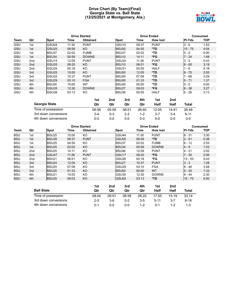# **Drive Chart (By Team)(Final) Georgia State vs. Ball State (12/25/2021 at Montgomery, Ala.)**



|             |                 |                   |       | <b>Drive Started</b> |        |                   | <b>Drive Ended</b> |                 |           | <b>Consumed</b> |            |
|-------------|-----------------|-------------------|-------|----------------------|--------|-------------------|--------------------|-----------------|-----------|-----------------|------------|
| <b>Team</b> | Qtr             | <b>Spot</b>       | Time  | <b>Obtained</b>      |        | <b>Spot</b>       | Time               | <b>How lost</b> |           | <b>PI-Yds</b>   | <b>TOP</b> |
| GSU         | 1st             | GSU04             | 11:30 | <b>PUNT</b>          |        | GSU <sub>10</sub> | 09:37              | <b>PUNT</b>     |           | $3 - 6$         | 1:53       |
| GSU         | 1st             | GSU <sub>25</sub> | 08:59 | KO.                  |        | <b>BSU00</b>      | 04:55              | *TD.            |           | $10 - 75$       | 4:04       |
| GSU         | 1st             | <b>BSU37</b>      | 02:02 | <b>FUMB</b>          |        | BSU37             | 02:02              | *TD             |           | $0 - 0$         | 0:00       |
| GSU         | 1st             | BSU34             | 00:59 | <b>DOWNS</b>         |        | BSU <sub>10</sub> | 14:11              | *FG             |           | 7 - 24          | 1:48       |
| GSU         | 2 <sub>nd</sub> | GSU <sub>15</sub> | 12:09 | <b>PUNT</b>          |        | GSU <sub>20</sub> | 11:26              | <b>PUNT</b>     |           | $3 - 5$         | 0:43       |
| <b>GSU</b>  | 2 <sub>nd</sub> | GSU <sub>25</sub> | 09:20 | <b>KO</b>            |        | BSU <sub>10</sub> | 06:01              | *FG             |           | $8 - 65$        | 3:19       |
| GSU         | 2 <sub>nd</sub> | GSU <sub>25</sub> | 00:18 | KO.                  |        | GSU31             | 00:00              | <b>HALF</b>     |           | $1 - 6$         | 0:18       |
| GSU         | 3rd             | GSU <sub>25</sub> | 15:00 | <b>KO</b>            |        | BSU00             | 12:05              | *TD.            |           | $8 - 75$        | 2:55       |
| GSU         | 3rd             | IGSU32            | 10:37 | <b>PUNT</b>          |        | BSU00             | 07:08              | *TD             |           | $7 - 68$        | 3:29       |
| GSU         | 3rd             | GSU <sub>29</sub> | 03:10 | <b>FGA</b>           |        | <b>BSU00</b>      | 01:33              | *TD             |           | $5 - 71$        | 1:37       |
| GSU         | 4th             | <b>BSU00</b>      | 15:00 | <b>INT</b>           |        | BSU00             | 00:00              | *TD             |           | $0 - 0$         | 0:00       |
| <b>GSU</b>  | 4th             | IGSU35            | 12:30 | <b>DOWNS</b>         |        | BSU <sub>27</sub> | 09:03              | *FG             |           | $8 - 38$        | 3:27       |
| GSU         | 4th             | GSU38             | 03:13 | KO                   |        | BSU36             | 00:00              | <b>HALF</b>     |           | $5 - 26$        | 3:13       |
|             |                 |                   |       | 1st                  | 2nd    | 3rd               | 4th                | 1st             | 2nd       |                 |            |
|             |                 | Canvalo Cinta     |       | $\mathbf{A}$         | $\sim$ | $\sim$            | $\sim$             | $11 - 10$       | $11 - 12$ | 7. L.L          |            |

| Georgia State        | Qtr   | Qtr   | Qtr     | Qtr     | Half    | Half  | Total    |
|----------------------|-------|-------|---------|---------|---------|-------|----------|
| Time of possession   | 06:56 | 05:09 | 08:01   | 06:40   | 12:05   | 14:41 | 26:46    |
| 3rd down conversions | $3-4$ | 0-3   | $2 - 2$ | $1 - 2$ | $3 - 7$ | $3-4$ | $6 - 11$ |
| 4th down conversions | 0-0   | ი-ი   | ი-ი     | ი-ი     | $0 - 0$ | ი-ი   | 0-0      |

|            | <b>Drive Started</b> |                   |       |                 |                        | <b>Drive Ended</b> |       |                 |     |               | <b>Consumed</b> |  |  |
|------------|----------------------|-------------------|-------|-----------------|------------------------|--------------------|-------|-----------------|-----|---------------|-----------------|--|--|
| Team       | Qtr                  | <b>Spot</b>       | Time  | <b>Obtained</b> |                        | Spot               | Time  | <b>How lost</b> |     | <b>PI-Yds</b> | <b>TOP</b>      |  |  |
| <b>BSU</b> | 1st                  | <b>BSU25</b>      | 15:00 | KO.             |                        | GSU44              | 11:30 | <b>PUNT</b>     |     | $8 - 31$      | 3:30            |  |  |
| <b>BSU</b> | 1st                  | BSU39             | 09:37 | <b>PUNT</b>     |                        | GSU00              | 08:59 | $*TD$           |     | $12 - 61$     | 0:38            |  |  |
| <b>BSU</b> | 1st                  | BSU <sub>25</sub> | 04:55 | KO.             |                        | BSU37              | 02:02 | <b>FUMB</b>     |     | $6 - 12$      | 2:53            |  |  |
| <b>BSU</b> | 1st                  | BSU <sub>25</sub> | 02:02 | KO.             |                        | BSU34              | 00:59 | <b>DOWNS</b>    |     | $4 - 9$       | 1:03            |  |  |
| <b>BSU</b> | 2nd                  | BSU <sub>25</sub> | 14:11 | KO.             |                        | BSU46              | 12:09 | <b>PUNT</b>     |     | $4 - 21$      | 2:02            |  |  |
| <b>BSU</b> | 2nd                  | GSU <sub>47</sub> | 11:26 | <b>PUNT</b>     |                        | GSU <sub>17</sub>  | 09:20 | *FG             |     | $7 - 30$      | 2:06            |  |  |
| <b>BSU</b> | 2nd                  | BSU <sub>21</sub> | 06:01 | KO              |                        | GSU <sub>26</sub>  | 00:18 | *FG             |     | $13 - 53$     | 5:43            |  |  |
| <b>BSU</b> | 3rd                  | BSU <sub>24</sub> | 12:05 | KO.             |                        | BSU <sub>27</sub>  | 10:37 | <b>PUNT</b>     |     | $ 3 - 3 $     | 1:28            |  |  |
| <b>BSU</b> | 3rd                  | BSU <sub>25</sub> | 07:08 | KO.             |                        | GSU <sub>29</sub>  | 03:10 | <b>FGA</b>      |     | $8 - 46$      | 3:58            |  |  |
| <b>BSU</b> | 3rd                  | BSU <sub>25</sub> | 01:33 | KO.             |                        | BSU <sub>50</sub>  | 00:00 | <b>INT</b>      |     | $5 - 25$      | 1:33            |  |  |
| <b>BSU</b> | 4th                  | BSU <sub>21</sub> | 15:00 | KO.             |                        | GSU35              | 12:30 | <b>DOWNS</b>    |     | $9 - 44$      | 2:30            |  |  |
| <b>BSU</b> | 4th                  | <b>BSU25</b>      | 09:03 | KO              |                        | GSU00              | 03:13 | *TD             |     | $15 - 75$     | 5:50            |  |  |
|            |                      |                   |       |                 | 1 <sub>st</sub><br>2nd | 3rd                | 4th   | 1st             | 2nd |               |                 |  |  |

|                      | 1st     | 2nd   | 3rd     | 4th     | 1st      | 2nd     |          |
|----------------------|---------|-------|---------|---------|----------|---------|----------|
| <b>Ball State</b>    | Qtr     | Qtr   | Qtr     | Qtr     | Half     | Half    | Total    |
| Time of possession   | 08:04   | 09:51 | 06:59   | 08:20   | 17:55    | 15:19   | 33:14    |
| 3rd down conversions | $2 - 5$ | $3-6$ | $0 - 2$ | $3 - 5$ | $5 - 11$ | $3 - 7$ | $8 - 18$ |
| 4th down conversions | $0 - 1$ | ი-ი   | $0 - 0$ | $1 - 2$ | $0 - 1$  |         | 1-3      |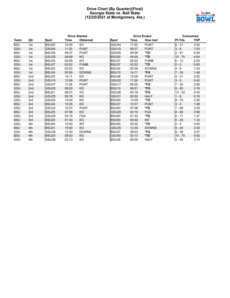# **Drive Chart (By Quarter)(Final) Georgia State vs. Ball State (12/25/2021 at Montgomery, Ala.)**



|            |                 | <b>Drive Started</b> |       |                 |                   | <b>Drive Ended</b> |                 | <b>Consumed</b> |            |  |
|------------|-----------------|----------------------|-------|-----------------|-------------------|--------------------|-----------------|-----------------|------------|--|
| Team       | Qtr             | <b>Spot</b>          | Time  | <b>Obtained</b> | <b>Spot</b>       | Time               | <b>How lost</b> | PI-Yds          | <b>TOP</b> |  |
| <b>BSU</b> | 1st             | BSU25                | 15:00 | KO              | GSU44             | 11:30              | <b>PUNT</b>     | $8 - 31$        | 3:30       |  |
| GSU        | 1st             | GSU04                | 11:30 | <b>PUNT</b>     | GSU <sub>10</sub> | 09:37              | <b>PUNT</b>     | $3 - 6$         | 1:53       |  |
| <b>BSU</b> | 1st             | BSU39                | 09:37 | <b>PUNT</b>     | GSU00             | 08:59              | *TD             | $2 - 61$        | 0:38       |  |
| GSU        | 1st             | GSU25                | 08:59 | <b>KO</b>       | BSU00             | 04:55              | *TD             | $10 - 75$       | 4:04       |  |
| <b>BSU</b> | 1st             | BSU <sub>25</sub>    | 04:55 | KO.             | BSU37             | 02:02              | <b>FUMB</b>     | $6 - 12$        | 2:53       |  |
| GSU        | 1st             | BSU37                | 02:02 | <b>FUMB</b>     | BSU37             | 02:02              | *TD             | $0 - 0$         | 0:00       |  |
| <b>BSU</b> | 1st             | <b>BSU25</b>         | 02:02 | KO.             | BSU34             | 00:59              | <b>DOWNS</b>    | $4 - 9$         | 1:03       |  |
| GSU        | 1st             | BSU34                | 00:59 | <b>DOWNS</b>    | BSU <sub>10</sub> | 14:11              | $*FG$           | $7 - 24$        | 1:48       |  |
| BSU        | 2 <sub>nd</sub> | BSU <sub>25</sub>    | 14:11 | KO              | <b>BSU46</b>      | 12:09              | <b>PUNT</b>     | 4 - 21          | 2:02       |  |
| GSU        | 2 <sub>nd</sub> | GSU <sub>15</sub>    | 12:09 | <b>PUNT</b>     | GSU <sub>20</sub> | 11:26              | <b>PUNT</b>     | $3 - 5$         | 0:43       |  |
| <b>BSU</b> | 2nd             | GSU47                | 11:26 | <b>PUNT</b>     | GSU <sub>17</sub> | 09:20              | *FG             | $7 - 30$        | 2:06       |  |
| <b>GSU</b> | 2 <sub>nd</sub> | GSU <sub>25</sub>    | 09:20 | <b>KO</b>       | <b>BSU10</b>      | 06:01              | *FG             | $8 - 65$        | 3:19       |  |
| <b>BSU</b> | 2 <sub>nd</sub> | <b>BSU21</b>         | 06:01 | KO.             | GSU <sub>26</sub> | 00:18              | *FG             | $13 - 53$       | 5:43       |  |
| GSU        | 2 <sub>nd</sub> | GSU <sub>25</sub>    | 00:18 | KO              | GSU31             | 00:00              | <b>HALF</b>     | $1 - 6$         | 0:18       |  |
| GSU        | 3rd             | GSU <sub>25</sub>    | 15:00 | KO              | BSU00             | 12:05              | *TD             | $8 - 75$        | 2:55       |  |
| <b>BSU</b> | 3rd             | <b>BSU24</b>         | 12:05 | KO              | BSU <sub>27</sub> | 10:37              | <b>PUNT</b>     | $3 - 3$         | 1:28       |  |
| GSU        | 3rd             | GSU32                | 10:37 | <b>PUNT</b>     | BSU00             | 07:08              | *TD             | $7 - 68$        | 3:29       |  |
| <b>BSU</b> | 3rd             | <b>BSU25</b>         | 07:08 | <b>KO</b>       | GSU <sub>29</sub> | 03:10              | <b>FGA</b>      | $8 - 46$        | 3:58       |  |
| GSU        | 3rd             | GSU <sub>29</sub>    | 03:10 | <b>FGA</b>      | BSU00             | 01:33              | *TD             | $5 - 71$        | 1:37       |  |
| <b>BSU</b> | 3rd             | <b>BSU25</b>         | 01:33 | <b>KO</b>       | <b>BSU50</b>      | 00:00              | <b>INT</b>      | $5 - 25$        | 1:33       |  |
| GSU        | 4th             | BSU00                | 15:00 | <b>INT</b>      | BSU00             | 00:00              | $*TD$           | $0 - 0$         | 0:00       |  |
| <b>BSU</b> | 4th             | <b>BSU21</b>         | 15:00 | KO              | GSU35             | 12:30              | <b>DOWNS</b>    | $9 - 44$        | 2:30       |  |
| GSU        | 4th             | GSU35                | 12:30 | <b>DOWNS</b>    | BSU <sub>27</sub> | 09:03              | *FG             | $8 - 38$        | 3:27       |  |
| <b>BSU</b> | 4th             | <b>BSU25</b>         | 09:03 | KO              | GSU00             | 03:13              | *TD             | $15 - 75$       | 5:50       |  |
| GSU        | 4th             | GSU38                | 03:13 | KO              | BSU36             | 00:00              | <b>HALF</b>     | $5 - 26$        | 3:13       |  |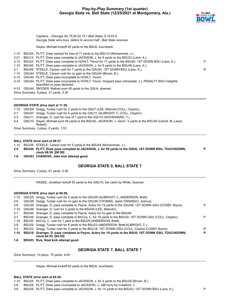# **Play-by-Play Summary (1st quarter) Georgia State vs. Ball State (12/25/2021 at Montgomery, Ala.)**



*Captains - (Georgia St) 75,90,62,15 / (Ball State) 5,14,62,9 Georgia State wins toss, defers to second half - Ball State receives*

Hayes, Michael kickoff 65 yards to the BSU0, touchback.

- 1-10 BSU25 PLITT, Drew sacked for loss of 11 yards to the BSU14 (Muhammad, J.).
- 2-21 BSU14 PLITT, Drew pass complete to JACKSON, J. for 9 yards to the BSU23 (Lane, A.).
- 3-12 BSU23 PLITT, Drew pass complete to HOHLT, Trevor for 17 yards to the BSU40, 1ST DOWN BSU (Lane, A.). P 1-10 BSU40 PLITT, Drew pass complete to JACKSON, J. for 9 yards to the BSU49 (Lane, A.). 2-1 BSU49 STEELE, Carson rush for 7 yards to the GSU44, 1ST DOWN BSU (Lane, A.).
- 1-10 GSU44 STEELE, Carson rush for no gain to the GSU44 (Brown, B.).
- 2-10 GSU44 PLITT, Drew pass incomplete to HOHLT, Trevor.
- 3-10 GSU44 PLITT, Drew pass incomplete to HOHLT, Trevor, dropped pass (Veneziale, J.), PENALTY BSU ineligible downfield on pass declined.
- 4-10 GSU44 SNYDER, Nathan punt 40 yards to the GSU4, downed.
- *Drive Summary: 8 plays, 31 yards, 3:30*

#### **GEORGIA STATE drive start at 11:30.**

- 1-10 GSU04 Gregg, Tucker rush for 3 yards to the GSU7 (LEE, Malcolm;COLL, Clayton).
- 2-7 GSU07 Gregg, Tucker rush for 4 yards to the GSU11 (ALBRIGHT, C.;COLL, Clayton).
- 3-3 GSU11 Grainger, D. rush for loss of 1 yard to the GSU10 (WOODWARD, T.).
- 4-4 GSU10 Hayes, Michael punt 48 yards to the BSU42, JACKSON, J. return -3 yards to the BSU39 (Carroll, M.;Lewis,
	- Robert).

*Drive Summary: 3 plays, 6 yards, 1:53*

#### **BALL STATE drive start at 09:37.**

- 1-10 BSU39 STEELE, Carson rush for 5 yards to the BSU44 (Muhammad, J.).
- **2-5 BSU44 PLITT, Drew pass complete to JACKSON, J. for 56 yards to the GSU0, 1ST DOWN BSU, TOUCHDOWN, clock 08:59. [08:59] P**
- **1-0 GSU03 CHANOVE, Jake kick attempt good.**

#### **GEORGIA STATE 0, BALL STATE 7**

*Drive Summary: 2 plays, 61 yards, 0:38*

HAGEE, Jonathan kickoff 55 yards to the GSU10, fair catch by White, Quavian.

#### **GEORGIA STATE drive start at 08:59.**

| 1-10    | GSU25 Gregg, Tucker rush for 4 yards to the GSU29 (ALBRIGHT, C.;ANDERSON, Brett).                        |   |
|---------|----------------------------------------------------------------------------------------------------------|---|
| $2-6$   | GSU29 Gregg, Tucker rush for no gain to the GSU29 (THOMAS, Jaylin; TARANGO, Joshua).                     |   |
| 3-6     | GSU29 Grainger, D. pass complete to Payne, Aubry for 19 yards to the GSU48, 1ST DOWN GSU (COSBY, Bryce). | P |
|         | 1-10 GSU48 Grainger, D. rush for 3 yards to the BSU49 (LEE, Malcolm).                                    |   |
| $2 - 7$ | BSU49 Grainger, D. pass complete to Payne, Aubry for no gain to the BSU49.                               |   |
| $3 - 7$ | BSU49 Grainger, D. pass complete to McCoy, C. for 19 yards to the BSU30, 1ST DOWN GSU (COLL, Clayton).   | P |
|         | 1-10 BSU30 McCoy, C. rush for 1 yard to the BSU29 (ANDERSON, Brett).                                     |   |
| $2-9$   | BSU29 Gregg, Tucker rush for 6 yards to the BSU23 (ANDERSON, Brett; ALBRIGHT, C.).                       |   |
| 3-3     | BSU23 Gregg, Tucker rush for 5 yards to the BSU18, 1ST DOWN GSU (COLL, Clayton;COSBY, Bryce).            | R |
|         | 1-10 BSU18 Grainger, D. pass complete to Payne, Aubry for 18 yards to the BSU0, 1ST DOWN GSU, TOUCHDOWN, | P |
|         | clock 04:55. [04:55]                                                                                     |   |
| $1-0$   | BSU03 Ruiz, Noel kick attempt good.                                                                      |   |

# **GEORGIA STATE 7, BALL STATE 7**

*Drive Summary: 10 plays, 75 yards, 4:04*

Hayes, Michael kickoff 65 yards to the BSU0, touchback.

#### **BALL STATE drive start at 04:55.**

1-10 BSU25 PLITT, Drew pass complete to JACKSON, J. for 4 yards to the BSU29 (Brown, B.).

2-6 BSU29 PLITT, Drew pass incomplete to JACKSON, J., QB hurry by Crawford, J..

3-6 BSU29 PLITT, Drew pass complete to JACKSON, J. for 14 yards to the BSU43, 1ST DOWN BSU (Lane, A.). P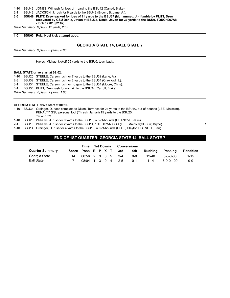- 1-10 BSU43 JONES, Will rush for loss of 1 yard to the BSU42 (Carroll, Blake).
- 2-11 BSU42 JACKSON, J. rush for 6 yards to the BSU48 (Brown, B.;Lane, A.).
- **3-5 BSU48 PLITT, Drew sacked for loss of 11 yards to the BSU37 (Muhammad, J.), fumble by PLITT, Drew recovered by GSU Denis, Javon at BSU37, Denis, Javon for 37 yards to the BSU0, TOUCHDOWN, clock 02:02. [02:02]**

*Drive Summary: 6 plays, 12 yards, 2:53*

**1-0 BSU03 Ruiz, Noel kick attempt good.**

#### **GEORGIA STATE 14, BALL STATE 7**

*Drive Summary: 0 plays, 0 yards, 0:00*

Hayes, Michael kickoff 65 yards to the BSU0, touchback.

#### **BALL STATE drive start at 02:02.**

- 1-10 BSU25 STEELE, Carson rush for 7 yards to the BSU32 (Lane, A.).
- 2-3 BSU32 STEELE, Carson rush for 2 yards to the BSU34 (Crawford, J.).
- 3-1 BSU34 STEELE, Carson rush for no gain to the BSU34 (Moore, Chris).
- 4-1 BSU34 PLITT, Drew rush for no gain to the BSU34 (Carroll, Blake).

*Drive Summary: 4 plays, 9 yards, 1:03*

#### **GEORGIA STATE drive start at 00:59.**

- 1-10 BSU34 Grainger, D. pass complete to Dixon, Terrance for 24 yards to the BSU10, out-of-bounds (LEE, Malcolm), PENALTY GSU personal foul (Thrash, Jamari) 15 yards to the BSU25.
- *1st and 10.*
- 1-10 BSU25 Williams, J. rush for 9 yards to the BSU16, out-of-bounds (CHANOVE, Jake).
- 2-1 BSU16 Williams, J. rush for 2 yards to the BSU14, 1ST DOWN GSU (LEE, Malcolm;COSBY, Bryce). R
- 1-10 BSU14 Grainger, D. rush for 4 yards to the BSU10, out-of-bounds (COLL, Clayton;EGENOLF, Ben).

# **END OF 1ST QUARTER: GEORGIA STATE 14, BALL STATE 7**

|                        |    | Time               | <b>1st Downs</b> |  | <b>Conversions</b> |      |         |          |                  |                  |
|------------------------|----|--------------------|------------------|--|--------------------|------|---------|----------|------------------|------------------|
| <b>Quarter Summary</b> |    | Score Poss R P X T |                  |  |                    | 3rd  | 4th     | Rushina  | Passing          | <b>Penalties</b> |
| Georgia State          | 14 | 06:56 2 3 0 5 3-4  |                  |  |                    |      | $0 - 0$ | 12-40    | $5 - 5 - 0 - 80$ | $1 - 15$         |
| <b>Ball State</b>      |    | $08:04$ 1 3 0 4    |                  |  |                    | -2-5 | $0 - 1$ | $11 - 4$ | $6-9-0-109$      | 0-0              |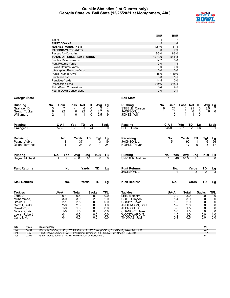### **Quickie Statistics (1st Quarter only) Georgia State vs. Ball State (12/25/2021 at Montgomery, Ala.)**



|                                  | GSU         | <b>BSU</b>     |
|----------------------------------|-------------|----------------|
| Score                            | 14          |                |
| <b>FIRST DOWNS</b>               | 5           | $\overline{4}$ |
| <b>RUSHES-YARDS (NET)</b>        | $12 - 40$   | $11 - 4$       |
| <b>PASSING-YARDS (NET)</b>       | 80          | 109            |
| Passes Att-Comp-Int              | $5 - 5 - 0$ | $9 - 6 - 0$    |
| <b>TOTAL OFFENSE PLAYS-YARDS</b> | 17-120      | 20-113         |
| Fumble Returns-Yards             | $1 - 37$    | $0 - 0$        |
| <b>Punt Returns-Yards</b>        | $0 - 0$     | $1 - 3$        |
| Kickoff Returns-Yards            | $0 - 0$     | $0 - 0$        |
| Interception Returns-Yards       | $0 - 0$     | $0 - 0$        |
| Punts (Number-Avg)               | $1 - 48.0$  | $1 - 40.0$     |
| Fumbles-Lost                     | $0 - 0$     | $1 - 1$        |
| Penalties-Yards                  | $1 - 15$    | $0 - 0$        |
| Possession Time                  | 06:56       | 08:04          |
| <b>Third-Down Conversions</b>    | $3 - 4$     | $2 - 5$        |
| Fourth-Down Conversions          | $0 - 0$     | $0 - 1$        |

| <b>Rushing</b>                                | No.<br>Gain                                                                         | <b>Net</b><br>Loss                     | TD<br>Avg                                              | Lg             | <b>Rushing</b>                                                                      | No.<br>Gain                           | Loss<br>Net TD                                                       | Avg Lg             |                 |
|-----------------------------------------------|-------------------------------------------------------------------------------------|----------------------------------------|--------------------------------------------------------|----------------|-------------------------------------------------------------------------------------|---------------------------------------|----------------------------------------------------------------------|--------------------|-----------------|
| Grainger, D.<br>Gregg, Tucker<br>Williams, J. | 3<br>7<br>22<br>6<br>11<br>$\overline{2}$                                           | 6<br>$-1$<br>22<br>0<br>11<br>$\Omega$ | 0<br>$\overline{2}$<br>0<br>3.7<br>$\mathbf{0}$<br>5.5 | 4<br>6<br>9    | STEELE, Carson<br>JACKSON, J.<br>JONES, Will                                        | $\overline{21}$<br>6<br>6<br>$\Omega$ | $\overline{21}$<br>0<br>0<br>6<br>0<br>0<br>$-1$<br>$\Omega$<br>$-1$ | 3.5<br>6<br>$-1$   | 7<br>6          |
| <b>Passing</b>                                | $C-A-I$                                                                             | Yds<br>TD                              | Lg                                                     | <b>Sack</b>    | <b>Passing</b>                                                                      | $C-A-I$                               | TD<br>Yds<br>Lg                                                      |                    | <b>Sack</b>     |
| Grainger, D.                                  | $5 - 5 - 0$                                                                         | 80                                     | $\overline{24}$                                        | O              | PLITT. Drew                                                                         | $6 - 8 - 0$                           | 7<br>$\overline{87}$<br>$\overline{56}$                              |                    |                 |
| Receiving                                     | No.                                                                                 | TD<br>Yards                            | Tgt                                                    | Lg             | Receiving                                                                           | No.                                   | Yards<br>TD                                                          | Tgt                | $\frac{Lg}{56}$ |
| Payne, Aubry<br>Dixon, Terrance               | 3<br>1                                                                              | 37<br>24                               | 3<br>0<br>$\blacktriangleleft$                         | 19<br>24       | JACKSON, J.<br>HOHLT, Trevor                                                        | 5                                     | 92<br>17<br>$\Omega$                                                 | 6<br>3             | 17              |
| <b>Punting</b>                                | No.<br>Yds                                                                          | Avg<br>Lng                             | In20                                                   | TВ             | <b>Punting</b>                                                                      | Yds<br>No.                            | Avg<br>Lng                                                           | In20               | $\frac{TB}{0}$  |
| Hayes, Michael                                | 48                                                                                  | 48.0<br>48                             | $\Omega$                                               | $\overline{0}$ | SNYDER, Nathan                                                                      | 40                                    | 40.0<br>40                                                           |                    |                 |
| <b>Punt Returns</b>                           | No.                                                                                 | Yards                                  | TD                                                     | Lg             | <b>Punt Returns</b>                                                                 | No.                                   | Yards                                                                | TD                 | $\frac{Lg}{-3}$ |
|                                               |                                                                                     |                                        |                                                        |                | JACKSON. J.                                                                         |                                       | -3                                                                   | $\overline{0}$     |                 |
| <b>Kick Returns</b>                           | No.                                                                                 | Yards                                  | TD                                                     | Lg             | <b>Kick Returns</b>                                                                 | No.                                   | Yards                                                                | TD                 | <u>Lg</u>       |
| <b>Tackles</b>                                | UA-A                                                                                | Total                                  | <b>Sacks</b>                                           | <b>TFL</b>     | <b>Tackles</b>                                                                      | UA-A                                  | Total                                                                | <b>Sacks</b>       | TFL             |
| Lane, A.                                      | $6 - 1$                                                                             | 6.5                                    | 0.0                                                    | 0.0            | LEE. Malcolm                                                                        | $2 - 2$                               | $\overline{3.0}$                                                     | 0.0                | 0.0             |
| Muhammad, J.<br>Brown, B.                     | $3-0$<br>$2 - 1$                                                                    | 3.0<br>2.5                             | 2.0<br>0.0                                             | 2.0<br>0.0     | COLL, Clayton<br>COSBY, Bryce                                                       | $1 - 4$<br>$1 - 2$                    | 3.0<br>2.0                                                           | 0.0<br>0.0         | 0.0<br>0.0      |
| Carroll, Blake                                | $2 - 0$                                                                             | 2.0                                    | 0.0                                                    | 1.0            | <b>ANDERSON, Brett</b>                                                              | $1 - 2$                               | 2.0                                                                  | 0.0                | 0.0             |
| Crawford, J.                                  | $1 - 0$                                                                             | 1.0                                    | 0.0                                                    | 0.0            | ALBRIGHT, C.                                                                        | $0 - 3$                               | 1.5                                                                  | 0.0                | 0.0             |
| Moore, Chris                                  | $1 - 0$                                                                             | 1.0                                    | 0.0                                                    | 0.0            | CHANOVE, Jake                                                                       | $1 - 0$                               | 1.0                                                                  | 0.0                | 0.0             |
| Lewis, Robert                                 | $0 - 1$                                                                             | 0.5                                    | 0.0                                                    | 0.0            | WOODWARD, T.                                                                        | $1 - 0$                               | 1.0                                                                  | 0.0                | 1.0             |
| Carroll, M.                                   | $0 - 1$                                                                             | 0.5                                    | 0.0                                                    | 0.0            | THOMAS, Jaylin                                                                      | $0 - 1$                               | 0.5                                                                  | 0.0                | 0.0             |
| Qtr<br>Time                                   | <b>Scoring Play</b>                                                                 |                                        |                                                        |                |                                                                                     |                                       |                                                                      | V-H                |                 |
| 08:59<br>1st<br>04:55<br>1st                  | GSU - Payne, Aubry 18 yd TD PASS from Grainger, D. (KICK by Ruiz, Noel), 10-75 4:04 |                                        |                                                        |                | BSU - JACKSON, J. 56 yd TD PASS from PLITT, Drew (KICK by CHANOVE, Jake), 2-61 0:38 |                                       |                                                                      | $0 - 7$<br>$7 - 7$ |                 |
| 02:02<br>1st                                  | GSU - Denis, Javon 37 yd TD FUMB (KICK by Ruiz, Noel),                              |                                        |                                                        |                |                                                                                     |                                       |                                                                      | $14 - 7$           |                 |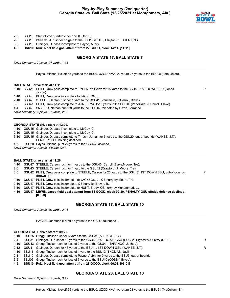# **Play-by-Play Summary (2nd quarter) Georgia State vs. Ball State (12/25/2021 at Montgomery, Ala.)**



P

- 2-6 BSU10 Start of 2nd quarter, clock 15:00. [15:00]
- 2-6 BSU10 Williams, J. rush for no gain to the BSU10 (COLL, Clayton;REICHERT, N.).
- 3-6 BSU10 Grainger, D. pass incomplete to Payne, Aubry.

**4-6 BSU10 Ruiz, Noel field goal attempt from 27 GOOD, clock 14:11. [14:11]**

### **GEORGIA STATE 17, BALL STATE 7**

*Drive Summary: 7 plays, 24 yards, 1:48*

Hayes, Michael kickoff 65 yards to the BSU0, UZODINMA, A. return 25 yards to the BSU25 (Tate, Jalen).

#### **BALL STATE drive start at 14:11.**

1-10 BSU25 PLITT, Drew pass complete to TYLER, Yo'Heinz for 15 yards to the BSU40, 1ST DOWN BSU (Jones, Jaylon).

1-10 BSU40 PLITT, Drew pass incomplete to JACKSON, J..

2-10 BSU40 STEELE, Carson rush for 1 yard to the BSU41 (Veneziale, J.;Carroll, Blake).

3-9 BSU41 PLITT, Drew pass complete to JONES, Will for 5 yards to the BSU46 (Veneziale, J.;Carroll, Blake).

4-4 BSU46 SNYDER, Nathan punt 39 yards to the GSU15, fair catch by Dixon, Terrance.

*Drive Summary: 4 plays, 21 yards, 2:02*

#### **GEORGIA STATE drive start at 12:09.**

1-10 GSU15 Grainger, D. pass incomplete to McCoy, C..

- 2-10 GSU15 Grainger, D. pass incomplete to McCoy, C..
- 3-10 GSU15 Grainger, D. pass complete to Thrash, Jamari for 5 yards to the GSU20, out-of-bounds (WAHEE, J.T.), PENALTY GSU holding declined.
- 4-5 GSU20 Hayes, Michael punt 27 yards to the GSU47, downed.
- *Drive Summary: 3 plays, 5 yards, 0:43*

#### **BALL STATE drive start at 11:26.**

- 1-10 GSU47 STEELE, Carson rush for 4 yards to the GSU43 (Carroll, Blake;Moore, Tre).
- 2-6 GSU43 STEELE, Carson rush for 1 yard to the GSU42 (Crawford, J.;Moore, Tre).
- 3-5 GSU42 PLITT, Drew pass complete to STEELE, Carson for 25 yards to the GSU17, 1ST DOWN BSU, out-of-bounds (Brown, B.). P
- 1-10 GSU17 PLITT, Drew pass incomplete to JACKSON, J., QB hurry by Moore, Tre.
- 2-10 GSU17 PLITT, Drew pass incomplete, QB hurry by Brown, B..
- 3-10 GSU17 PLITT, Drew pass incomplete to HUNT, Brady, QB hurry by Muhammad, J..
- **4-10 GSU17 LEWIS, Jacob field goal attempt from 34 GOOD, clock 09:20, PENALTY GSU offside defense declined. [09:20]**

#### **GEORGIA STATE 17, BALL STATE 10**

*Drive Summary: 7 plays, 30 yards, 2:06*

HAGEE, Jonathan kickoff 65 yards to the GSU0, touchback.

#### **GEORGIA STATE drive start at 09:20.**

|  | 1-10 GSU25 Gregg, Tucker rush for 6 yards to the GSU31 (ALBRIGHT, C.).                            |   |
|--|---------------------------------------------------------------------------------------------------|---|
|  | 2-4 GSU31 Grainger, D. rush for 12 yards to the GSU43, 1ST DOWN GSU (COSBY, Bryce; WOODWARD, T.). | R |
|  | 1-10 GSU43 Gregg, Tucker rush for loss of 2 yards to the GSU41 (TARANGO, Joshua).                 |   |
|  | 2-12 GSU41 Grainger, D. rush for 48 yards to the BSU11, 1ST DOWN GSU (WAHEE, J.T.).               | R |
|  | 1-10 BSU11 Gregg, Tucker rush for loss of 1 yard to the BSU12 (THOMAS, Jaylin).                   |   |
|  | 2-11 BSU12 Grainger, D. pass complete to Payne, Aubry for 9 yards to the BSU3, out-of-bounds.     |   |

3-2 BSU03 Gregg, Tucker rush for loss of 7 yards to the BSU10 (COSBY, Bryce).

**4-9 BSU10 Ruiz, Noel field goal attempt from 28 GOOD, clock 06:01. [06:01]**

#### **GEORGIA STATE 20, BALL STATE 10**

*Drive Summary: 8 plays, 65 yards, 3:19*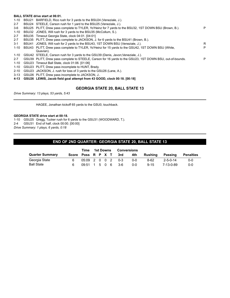#### **BALL STATE drive start at 06:01.**

- 1-10 BSU21 BARFIELD, Rico rush for 3 yards to the BSU24 (Veneziale, J.).
- 2-7 BSU24 STEELE, Carson rush for 1 yard to the BSU25 (Veneziale, J.).
- 3-6 BSU25 PLITT, Drew pass complete to TYLER, Yo'Heinz for 7 yards to the BSU32, 1ST DOWN BSU (Brown, B.). P 1-10 BSU32 JONES, Will rush for 3 yards to the BSU35 (McCollum, S.). 2-7 BSU35 Timeout Georgia State, clock 04:01. [04:01] 2-7 BSU35 PLITT, Drew pass complete to JACKSON, J. for 6 yards to the BSU41 (Brown, B.). 3-1 BSU41 JONES, Will rush for 2 yards to the BSU43, 1ST DOWN BSU (Veneziale, J.). R 1-10 BSU43 PLITT, Drew pass complete to TYLER, Yo'Heinz for 15 yards to the GSU42, 1ST DOWN BSU (White, Quavian). P 1-10 GSU42 STEELE, Carson rush for 3 yards to the GSU39 (Denis, Javon;Veneziale, J.). 2-7 GSU39 PLITT, Drew pass complete to STEELE, Carson for 16 yards to the GSU23, 1ST DOWN BSU, out-of-bounds. 1-10 GSU23 Timeout Ball State, clock 01:06. [01:06] 1-10 GSU23 PLITT, Drew pass incomplete to HUNT, Brady.
- 2-10 GSU23 JACKSON, J. rush for loss of 3 yards to the GSU26 (Lane, A.).
- 3-13 GSU26 PLITT, Drew pass incomplete to JACKSON, J..
- **4-13 GSU26 LEWIS, Jacob field goal attempt from 43 GOOD, clock 00:18. [00:18]**

#### **GEORGIA STATE 20, BALL STATE 13**

*Drive Summary: 13 plays, 53 yards, 5:43*

HAGEE, Jonathan kickoff 65 yards to the GSU0, touchback.

#### **GEORGIA STATE drive start at 00:18.**

1-10 GSU25 Gregg, Tucker rush for 6 yards to the GSU31 (WOODWARD, T.).

2-4 GSU31 End of half, clock 00:00. [00:00]

*Drive Summary: 1 plays, 6 yards, 0:18*

# **END OF 2ND QUARTER: GEORGIA STATE 20, BALL STATE 13**

|                        | Time                  | 1st Downs |  | <b>Conversions</b> |                        |         |          |                  |           |
|------------------------|-----------------------|-----------|--|--------------------|------------------------|---------|----------|------------------|-----------|
| <b>Quarter Summary</b> |                       |           |  |                    | Score Poss R P X T 3rd | 4th     | Rushina  | Passing          | Penalties |
| Georgia State          | $0.5:09$ 2 0 0 2 0 -3 |           |  |                    |                        | 0-0     | 8-62     | $2 - 5 - 0 - 14$ | $0 - 0$   |
| <b>Ball State</b>      | 09:51 1 5 0 6         |           |  |                    | - 3-6                  | $0 - 0$ | $9 - 15$ | 7-13-0-89        | $0 - 0$   |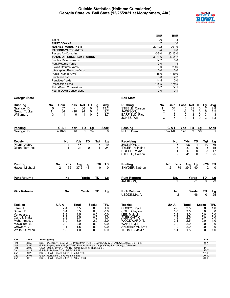### **Quickie Statistics (Halftime Cumulative) Georgia State vs. Ball State (12/25/2021 at Montgomery, Ala.)**



|                                   | GSU          | <b>BSU</b>    |
|-----------------------------------|--------------|---------------|
| Score                             | 20           | 13            |
| <b>FIRST DOWNS</b>                |              | 10            |
| <b>RUSHES-YARDS (NET)</b>         | 20-102       | $20 - 19$     |
| <b>PASSING-YARDS (NET)</b>        | 94           | 198           |
| Passes Att-Comp-Int               | $10 - 7 - 0$ | $22 - 13 - 0$ |
| <b>TOTAL OFFENSE PLAYS-YARDS</b>  | 30-196       | 42-217        |
| <b>Fumble Returns-Yards</b>       | $1 - 37$     | $0-0$         |
| <b>Punt Returns-Yards</b>         | $0 - 0$      | $1 - 3$       |
| Kickoff Returns-Yards             | $0 - 0$      | $2 - 46$      |
| <b>Interception Returns-Yards</b> | $0 - 0$      | $0 - 0$       |
| Punts (Number-Avg)                | $1 - 48.0$   | $1 - 40.0$    |
| Fumbles-Lost                      | $0 - 0$      | $2 - 2$       |
| Penalties-Yards                   | $1 - 15$     | $0 - 0$       |
| Possession Time                   | 12:05        | 17:55         |
| <b>Third-Down Conversions</b>     | $3 - 7$      | $5 - 11$      |
| <b>Fourth-Down Conversions</b>    | $0 - 0$      | $0 - 1$       |

| <b>Rushing</b>                  | Gain<br>No.        | Loss<br>Net                   | TD<br>Lg                           | Avg               | <b>Rushing</b>                        | Gain<br>No.             | Loss<br>Net                | TD<br>Lg                                        | <b>Avg</b>             |
|---------------------------------|--------------------|-------------------------------|------------------------------------|-------------------|---------------------------------------|-------------------------|----------------------------|-------------------------------------------------|------------------------|
| Grainger, D.                    | 5<br>67<br>34      | 66<br>$-1$                    | 48<br>0<br>6                       | 13.2              | STEELE, Carson                        | 11<br>31                | 31<br>0                    | 0                                               | 2.8                    |
| Gregg, Tucker<br>Williams, J.   | 11<br>3<br>11      | 24<br>$-10$<br>11<br>$\Omega$ | 0<br>0<br>9                        | $\frac{2.2}{3.7}$ | JACKSON, J.<br><b>BARFIELD, Rico</b>  | $\frac{2}{1}$<br>6<br>3 | $\frac{3}{3}$<br>$-3$<br>0 | 0<br>6<br>$\ensuremath{\mathsf{3}}$<br>0        | 1.5<br>3               |
|                                 |                    |                               |                                    |                   | JONES, Will                           | 3<br>5                  | 4<br>$-1$                  | 3<br>0                                          | 1.3                    |
| <b>Passing</b>                  | $C-A-I$            | Yds<br>TD                     | Lg                                 | <b>Sack</b>       | <b>Passing</b>                        | $C-A-I$                 | Yds<br>TD                  | Lg                                              | <b>Sack</b>            |
| Grainger, D.                    | $7 - 10 - 0$       | 94                            | 24                                 | $\Omega$          | PLITT, Drew                           | $13 - 21 - 0$           | $\overline{2}$<br>176      | 56                                              |                        |
| Receiving                       | No.                | Yds                           | TD<br>Tgt                          | <u>Lg</u>         | Receiving                             | No.                     | Yds                        | TD<br>Tgt                                       | $\frac{Lg}{56}$        |
| Payne, Aubry<br>Dixon, Terrance | 4<br>1             | 46<br>24                      | 5<br>$\mathbf{1}$<br>$\Omega$<br>1 | 19<br>24          | JACKSON, J.<br>TYLER, Yo'Heinz        | 6<br>3                  | 98<br>37                   | $\mathbf{1}$<br>10<br>0                         |                        |
|                                 |                    |                               |                                    |                   | HOHLT, Trevor                         | 1                       | 17                         | $\begin{array}{c} 3 \\ 3 \\ 2 \end{array}$<br>0 | $\frac{15}{17}$        |
|                                 |                    |                               |                                    |                   | STEELE, Carson                        | $\overline{2}$          | 41                         | $\Omega$                                        | 25                     |
| <b>Punting</b>                  | Yds<br>No.         | Avg                           | In20<br><u>Lg</u>                  | TВ                | <b>Punting</b>                        | No.<br>Yds              | Avg<br>Lg                  | ln20                                            | $\frac{TB}{0}$         |
| Hayes, Michael                  | 75<br>2            | 37.5                          | $\overline{48}$                    | $\overline{0}$    | SNYDER, Nathan                        | 79<br>$\overline{2}$    | $39.\bar{5}$               | 40                                              | ヮ                      |
| <b>Punt Returns</b>             | No.                | Yards                         | TD                                 | Lg                | <b>Punt Returns</b>                   | No.                     | Yards                      | TD                                              | $\frac{\text{Lg}}{-3}$ |
|                                 |                    |                               |                                    |                   | JACKSON, J.                           |                         |                            | -3                                              |                        |
| <b>Kick Returns</b>             | No.                | Yards                         | <b>TD</b>                          | Lg                | <b>Kick Returns</b>                   | No.                     | Yards                      | TD                                              | $\frac{\text{Lg}}{25}$ |
|                                 |                    |                               |                                    |                   | UZODINMA, A.                          | $\overline{2}$          |                            | 46<br>$\overline{0}$                            |                        |
| <b>Tackles</b>                  | UA-A               | <b>Total</b>                  | <b>Sacks</b>                       | TFL               | <b>Tackles</b>                        | UA-A                    | <b>Total</b>               | <b>Sacks</b>                                    | TFL                    |
| Lane, A.<br>Brown, B.           | $7 - 1$<br>$5 - 1$ | 7.5<br>5.5                    | 0.0<br>0.0                         | 1.0<br>0.0        | COSBY, Bryce<br>COLL, Clayton         | $2 - 3$<br>$1-5$        | $\overline{3.5}$<br>3.5    | 0.0<br>0.0                                      | 1.0<br>0.0             |
| Veneziale, J.                   | $3 - 3$            | 4.5                           | 0.0                                | 0.0               | LEE, Malcolm                          | $2 - 2$                 | 3.0                        | 0.0                                             | 0.0                    |
| Carroll, Blake                  | $2 - 3$            | 3.5                           | 0.0                                | 1.0               | ALBRIGHT, C.                          | $1 - 3$                 | 2.5                        | 0.0                                             | 0.0                    |
| Muhammad, J.                    | $3-0$              | 3.0                           | 2.0                                | 2.0               | WOODWARD, T.                          | $2 - 1$                 | 2.5                        | 0.0                                             | 1.0                    |
| McCollum, S.<br>Crawford, J.    | $2 - 0$<br>$1 - 1$ | 2.0<br>1.5                    | 0.0<br>0.0                         | 0.0<br>0.0        | WAHEE, J.T.<br><b>ANDERSON, Brett</b> | $2 - 0$<br>$1 - 2$      | 2.0<br>2.0                 | 0.0<br>0.0                                      | 0.0<br>0.0             |
| White, Quavian                  | $1 - 0$            | 1.0                           | 0.0                                | 0.0               | THOMAS, Jaylin                        | $1 - 1$                 | 1.5                        | 0.0                                             | 1.0                    |
|                                 |                    |                               |                                    |                   |                                       |                         |                            |                                                 |                        |

| Qtr             | Time  | <b>Scoring Play</b>                                                                 | V-H       |
|-----------------|-------|-------------------------------------------------------------------------------------|-----------|
| 1st             | 08:59 | BSU - JACKSON, J. 56 yd TD PASS from PLITT, Drew (KICK by CHANOVE, Jake), 2-61 0:38 |           |
| 1st             | 04:55 | GSU - Payne, Aubry 18 yd TD PASS from Grainger, D. (KICK by Ruiz, Noel), 10-75 4:04 |           |
| 1st             | 02:02 | GSU - Denis, Javon 37 yd TD FUMB (KICK by Ruiz, Noel),                              | $14 - 7$  |
| 2 <sub>nd</sub> | 14:11 | GSU - Ruiz, Noel 27 yd FG 7-24 1:48                                                 | $17 - 7$  |
| 2 <sub>nd</sub> | 09:20 | BSU - LEWIS. Jacob 34 vd FG 7-30 2:06                                               | $17-10$   |
| 2 <sub>nd</sub> | 06:01 | GSU - Ruiz, Noel 28 yd FG 8-65 3:19                                                 | $20 - 10$ |
| 2 <sub>nd</sub> | 00:18 | BSU - LEWIS, Jacob 43 yd FG 13-53 5:43                                              | $20 - 13$ |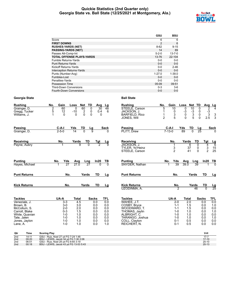### **Quickie Statistics (2nd Quarter only) Georgia State vs. Ball State (12/25/2021 at Montgomery, Ala.)**



|                                   | GSU            | <b>BSU</b>   |
|-----------------------------------|----------------|--------------|
| Score                             | 6              | 6            |
| <b>FIRST DOWNS</b>                | $\overline{2}$ | 6            |
| <b>RUSHES-YARDS (NET)</b>         | $8 - 62$       | $9 - 15$     |
| <b>PASSING-YARDS (NET)</b>        | 14             | 89           |
| Passes Att-Comp-Int               | $5 - 2 - 0$    | $13 - 7 - 0$ |
| <b>TOTAL OFFENSE PLAYS-YARDS</b>  | 13-76          | 22-104       |
| <b>Fumble Returns-Yards</b>       | $0 - 0$        | $0-0$        |
| <b>Punt Returns-Yards</b>         | $0 - 0$        | $0 - 0$      |
| Kickoff Returns-Yards             | $0 - 0$        | $2 - 46$     |
| <b>Interception Returns-Yards</b> | $0 - 0$        | $0 - 0$      |
| Punts (Number-Avg)                | $1 - 27.0$     | $1 - 39.0$   |
| Fumbles-Lost                      | $0 - 0$        | $0 - 0$      |
| Penalties-Yards                   | $0 - 0$        | $0 - 0$      |
| Possession Time                   | 05:09          | 09:51        |
| <b>Third-Down Conversions</b>     | $0 - 3$        | $3-6$        |
| Fourth-Down Conversions           | $0 - 0$        | $0 - 0$      |

| <b>Rushing</b>                                                                                                             | No.<br>Gain                                                                        | Loss<br>Net                                          | <b>TD</b><br>Avg                                                 | <u>Lg</u>                                            | <b>Rushing</b>                                                                                                                    | No.<br>Gain                                                                        | Loss<br>Net                                                       | <b>TD</b><br>Avg                                      |                                                         |
|----------------------------------------------------------------------------------------------------------------------------|------------------------------------------------------------------------------------|------------------------------------------------------|------------------------------------------------------------------|------------------------------------------------------|-----------------------------------------------------------------------------------------------------------------------------------|------------------------------------------------------------------------------------|-------------------------------------------------------------------|-------------------------------------------------------|---------------------------------------------------------|
| Grainger, D.<br>Gregg, Tucker<br>Williams, J.                                                                              | 2<br>60<br>5<br>12<br>1<br>$\Omega$                                                | 60<br>0<br>$\frac{2}{0}$<br>$-10$<br>$\Omega$        | 0<br>$\overline{30}$<br>$\pmb{0}$<br>0.4<br>$\Omega$<br>$\Omega$ | 48<br>6                                              | STEELE, Carson<br>JACKSON, J.<br><b>BARFIELD, Rico</b><br>JONES, Will                                                             | 5<br>10<br>0<br>3<br>5<br>$\overline{2}$                                           | 10<br>0<br>$\frac{13}{3}$<br>5<br>$-3$<br>0<br>$\Omega$           | 0<br>$\pmb{0}$<br>$\frac{3}{2.5}$<br>0<br>$\mathbf 0$ | $\frac{\text{Lg}}{4}$<br>2<br>$-\overline{3}$<br>$_3^3$ |
| Passing<br>Grainger, D.                                                                                                    | $C-A-I$<br>$2 - 5 - 0$                                                             | TD<br>Yds<br>$\overline{0}$<br>$\overline{14}$       | Lg<br>9                                                          | <b>Sack</b>                                          | Passing<br>PLITT, Drew                                                                                                            | $C-A-I$<br>$7 - 13 - 0$                                                            | Yds<br>TD<br>89                                                   | Lg<br>$\overline{25}$                                 | <b>Sack</b>                                             |
| Receiving                                                                                                                  | No.                                                                                | Yards<br>TD<br>g                                     | $\frac{Tgt}{2}$<br>$\overline{0}$                                | $\frac{Lg}{9}$                                       | Receiving<br>JACKSON. J.                                                                                                          | No.                                                                                | Yards<br>6                                                        | TD<br>Tgt<br>$\mathbf{0}$                             | $\frac{Lg}{6}$                                          |
| Payne, Aubry                                                                                                               |                                                                                    |                                                      |                                                                  |                                                      | TYLER, Yo'Heinz<br>STEELE, Carson                                                                                                 | 1<br>3<br>$\overline{2}$                                                           | 37<br>41                                                          | 4<br>$\frac{3}{2}$<br>0<br>$\Omega$                   | $\frac{15}{25}$                                         |
| <b>Punting</b><br>Haves, Michael                                                                                           | No.<br>Yds<br>27<br>1                                                              | Avg<br>Lng<br>27.0                                   | In20<br>27<br>$\Omega$                                           | TВ<br>$\overline{0}$                                 | <b>Punting</b><br>SNYDER, Nathan                                                                                                  | No.<br>Yds<br>39<br>1                                                              | Avg<br>Lng<br>39.0                                                | In20<br>39                                            | $\frac{TB}{0}$                                          |
| <b>Punt Returns</b>                                                                                                        | No.                                                                                | Yards                                                | <b>TD</b>                                                        | Lg                                                   | <b>Punt Returns</b>                                                                                                               | No.                                                                                | Yards                                                             | <b>TD</b>                                             | Lg                                                      |
| <b>Kick Returns</b>                                                                                                        | No.                                                                                | Yards                                                | <b>TD</b>                                                        | Lg                                                   | <b>Kick Returns</b><br>UZODINMA, A.                                                                                               | No.<br>$\overline{2}$                                                              | Yards                                                             | TD<br>$\overline{0}$<br>46                            | $\frac{Lg}{25}$                                         |
| <b>Tackles</b>                                                                                                             | UA-A                                                                               | <b>Total</b>                                         | <b>Sacks</b>                                                     | TFL                                                  | <b>Tackles</b>                                                                                                                    | UA-A                                                                               | <b>Total</b>                                                      | <b>Sacks</b>                                          | <b>TFL</b>                                              |
| Veneziale, J.<br>Brown, B.<br>McCollum, S.<br>Carroll, Blake<br>White, Quavian<br>Tate, Jalen<br>Jones, Jaylon<br>Lane, A. | $3 - 3$<br>$3-0$<br>$2 - 0$<br>$0 - 3$<br>$1 - 0$<br>$1 - 0$<br>$1 - 0$<br>$1 - 0$ | 4.5<br>3.0<br>2.0<br>1.5<br>1.0<br>1.0<br>1.0<br>1.0 | 0.0<br>0.0<br>0.0<br>0.0<br>0.0<br>0.0<br>0.0<br>0.0             | 0.0<br>0.0<br>0.0<br>0.0<br>0.0<br>0.0<br>0.0<br>1.0 | WAHEE, J.T.<br>COSBY, Bryce<br>WOODWARD. T.<br>THOMAS, Jaylin<br>ALBRIGHT, C.<br>TARANGO, Joshua<br>COLL, Clayton<br>REICHERT, N. | $2-0$<br>$1 - 1$<br>$1 - 1$<br>$1 - 0$<br>$1 - 0$<br>$1 - 0$<br>$0 - 1$<br>$0 - 1$ | $\overline{2.0}$<br>1.5<br>1.5<br>1.0<br>1.0<br>1.0<br>0.5<br>0.5 | 0.0<br>0.0<br>0.0<br>0.0<br>0.0<br>0.0<br>0.0<br>0.0  | 0.0<br>1.0<br>0.0<br>1.0<br>0.0<br>1.0<br>0.0<br>0.0    |
| <b>Time</b><br>Qtr<br>2 <sub>nd</sub><br>14:11                                                                             | <b>Scoring Play</b><br>GSU - Ruiz, Noel 27 yd FG 7-24 1:48                         |                                                      |                                                                  |                                                      |                                                                                                                                   |                                                                                    |                                                                   | V-H<br>$17 - 7$                                       |                                                         |

|                 | .     |                                        | .         |
|-----------------|-------|----------------------------------------|-----------|
| 2nd             | 14:11 | GSU - Ruiz, Noel 27 yd FG 7-24 1:48    | 17-7      |
| 2 <sub>nd</sub> | 09:20 | BSU - LEWIS, Jacob 34 vd FG 7-30 2:06  | $17 - 10$ |
| 2 <sub>nd</sub> | 06:01 | GSU - Ruiz. Noel 28 vd FG 8-65 3:19    | $20 - 10$ |
| 2 <sub>nd</sub> | 00:18 | BSU - LEWIS, Jacob 43 yd FG 13-53 5:43 | $20 - 13$ |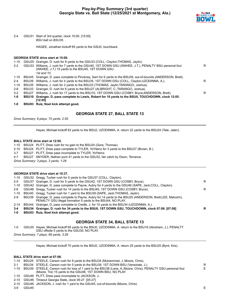

2-4 GSU31 Start of 3rd quarter, clock 15:00. [15:00] *BSU ball on BSU35.*

HAGEE, Jonathan kickoff 65 yards to the GSU0, touchback.

#### **GEORGIA STATE drive start at 15:00.**

| 1-10    |       | GSU25 Grainger, D. rush for 8 yards to the GSU33 (COLL, Clayton; THOMAS, Jaylin).                            |   |
|---------|-------|--------------------------------------------------------------------------------------------------------------|---|
| $2 - 2$ | GSU33 | Williams, J. rush for 7 yards to the GSU40, 1ST DOWN GSU (WAHEE, J.T.), PENALTY BSU personal foul            | R |
|         |       | (WAHEE, J.T.) 15 yards to the BSU45, 1ST DOWN GSU.                                                           |   |
|         |       | 1st and 10.                                                                                                  |   |
| 1-10    |       | BSU45 Grainger, D. pass complete to Pinckney, Sam for 6 yards to the BSU39, out-of-bounds (ANDERSON, Brett). |   |
| $2 - 4$ | BSU39 | Williams, J. rush for 4 yards to the BSU35, 1ST DOWN GSU (COLL, Clayton; UZODINMA, A.).                      | R |
| 1-10    |       | BSU35 Williams, J. rush for 2 yards to the BSU33 (THOMAS, Jaylin; TARANGO, Joshua).                          |   |
| $2 - 8$ |       | BSU33 Grainger, D. rush for 6 yards to the BSU27 (ALBRIGHT, C. TARANGO, Joshua).                             |   |
| $3-2$   | BSU27 | Williams, J. rush for 17 yards to the BSU10, 1ST DOWN GSU (COSBY, Bryce; ANDERSON, Brett).                   | R |
| $1-0$   | BSU10 | Grainger, D. pass complete to Lewis, Robert for 10 yards to the BSU0, TOUCHDOWN, clock 12:05.                |   |
|         |       | [12:05]                                                                                                      |   |

**1-0 BSU03 Ruiz, Noel kick attempt good.**

# **GEORGIA STATE 27, BALL STATE 13**

*Drive Summary: 8 plays, 75 yards, 2:55*

Hayes, Michael kickoff 63 yards to the BSU2, UZODINMA, A. return 22 yards to the BSU24 (Tate, Jalen).

#### **BALL STATE drive start at 12:05.**

1-10 BSU24 PLITT, Drew rush for no gain to the BSU24 (Gore, Thomas).

2-10 BSU24 PLITT, Drew pass complete to TYLER, Yo'Heinz for 3 yards to the BSU27 (Brown, B.).

3-7 BSU27 PLITT, Drew pass incomplete to TYLER, Yo'Heinz.

4-7 BSU27 SNYDER, Nathan punt 41 yards to the GSU32, fair catch by Dixon, Terrance.

*Drive Summary: 3 plays, 3 yards, 1:28*

#### **GEORGIA STATE drive start at 10:37.**

| 1-0     | BSU03 Ruiz, Noel kick attempt good.                                                                                                                                        |   |
|---------|----------------------------------------------------------------------------------------------------------------------------------------------------------------------------|---|
| $3 - 4$ | BSU34 Grainger, D. rush for 34 yards to the BSU0, 1ST DOWN GSU, TOUCHDOWN, clock 07:08. [07:08]                                                                            | R |
| 2-14    | BSU44 Grainger, D. pass complete to Credle, J. for 10 yards to the BSU34 (UZODINMA, A.).                                                                                   |   |
| $2-9$   | BSU39 Grainger, D. pass complete to Payne, Aubry for 14 yards to the BSU25 (ANDERSON, Brett;LEE, Malcolm),<br>PENALTY GSU illegal formation 5 yards to the BSU44, NO PLAY. |   |
| 1-10    | BSU40 Gregg, Tucker rush for 1 yard to the BSU39 (SAPE, Jack; THOMAS, Jaylin).                                                                                             |   |
| 2-6     | GSU46 Gregg, Tucker rush for 14 yards to the BSU40, 1ST DOWN GSU (COSBY, Bryce).                                                                                           | R |
| 1-10    | GSU42 Grainger, D. pass complete to Payne, Aubry for 4 yards to the GSU46 (SAPE, Jack; COLL, Clayton).                                                                     |   |
| $2 - 5$ | GSU37 Grainger, D. rush for 5 yards to the GSU42, 1ST DOWN GSU (COSBY, Bryce).                                                                                             | R |
|         | 1-10 GSU32 Gregg, Tucker rush for 5 yards to the GSU37 (COLL, Clayton).                                                                                                    |   |

# **GEORGIA STATE 34, BALL STATE 13**

1-0 GSU35 Hayes, Michael kickoff 65 yards to the BSU0, UZODINMA, A. return to the BSU16 (Abraham, J.), PENALTY GSU offside 5 yards to the GSU30, NO PLAY.

*Drive Summary: 7 plays, 68 yards, 3:29*

Hayes, Michael kickoff 70 yards to the BSU0, UZODINMA, A. return 25 yards to the BSU25 (Byrd, Kris).

### **BALL STATE drive start at 07:08.**

|  |  |  |  |  |  |  | 1-10 BSU25 STEELE, Carson rush for 9 yards to the BSU34 (Muhammad, J.; Moore, Chris). |  |  |
|--|--|--|--|--|--|--|---------------------------------------------------------------------------------------|--|--|
|--|--|--|--|--|--|--|---------------------------------------------------------------------------------------|--|--|

- 2-1 BSU34 STEELE, Carson rush for 5 yards to the BSU39, 1ST DOWN BSU (Veneziale, J.).
- 1-10 BSU39 STEELE, Carson rush for loss of 1 yard to the BSU38 (Lane, A.;Moore, Chris), PENALTY GSU personal foul (Moore, Tre) 15 yards to the GSU46, 1ST DOWN BSU, NO PLAY. E
- 1-10 GSU46 PLITT, Drew pass incomplete to JACKSON, J..
- 2-10 GSU46 Timeout Georgia State, clock 05:27. [05:27]
- 2-10 GSU46 JACKSON, J. rush for 1 yard to the GSU45, out-of-bounds (Moore, Chris).

3-9 GSU45 E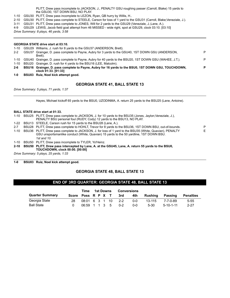PLITT, Drew pass incomplete to JACKSON, J., PENALTY GSU roughing passer (Carroll, Blake) 15 yards to the GSU30, 1ST DOWN BSU, NO PLAY.

1-10 GSU30 PLITT, Drew pass incomplete to LEZON, Ryan, QB hurry by Willis, H..

2-10 GSU30 PLITT, Drew pass complete to STEELE, Carson for loss of 1 yard to the GSU31 (Carroll, Blake;Veneziale, J.).

3-11 GSU31 PLITT, Drew pass complete to JONES, Will for 2 yards to the GSU29 (Veneziale, J.;Lane, A.).

4-9 GSU29 LEWIS, Jacob field goal attempt from 46 MISSED - wide right, spot at GSU29, clock 03:10. [03:10] *Drive Summary: 8 plays, 46 yards, 3:58*

#### **GEORGIA STATE drive start at 03:10.**

|          | clock 01:33. [01:33]                                                                                         |   |
|----------|--------------------------------------------------------------------------------------------------------------|---|
| 2-6      | BSU16 Grainger, D. pass complete to Payne, Aubry for 16 yards to the BSU0, 1ST DOWN GSU, TOUCHDOWN,          | D |
| 1-10     | BSU20 Grainger, D. rush for 4 yards to the BSU16 (LEE, Malcolm).                                             |   |
|          | 1-10 GSU40 Grainger, D. pass complete to Payne, Aubry for 40 yards to the BSU20, 1ST DOWN GSU (WAHEE, J.T.). | D |
|          | Brett).                                                                                                      |   |
| $2-2$    | GSU37 Grainger, D. pass complete to Payne, Aubry for 3 yards to the GSU40, 1ST DOWN GSU (ANDERSON,           | P |
| $1 - 10$ | GSU29 Williams, J. rush for 8 yards to the GSU37 (ANDERSON, Brett).                                          |   |

**1-0 BSU03 Ruiz, Noel kick attempt good.**

# **GEORGIA STATE 41, BALL STATE 13**

*Drive Summary: 5 plays, 71 yards, 1:37*

Hayes, Michael kickoff 65 yards to the BSU0, UZODINMA, A. return 25 yards to the BSU25 (Lane, Antoine).

# **BALL STATE drive start at 01:33.**

|         |            | 1-10 BSU25 PLITT, Drew pass complete to JACKSON, J. for 10 yards to the BSU35 (Jones, Jaylon; Veneziale, J.), |    |
|---------|------------|---------------------------------------------------------------------------------------------------------------|----|
|         |            | PENALTY BSU personal foul (RUDY, Cody) 12 yards to the BSU13, NO PLAY.                                        |    |
|         |            |                                                                                                               |    |
| 1-22    |            | BSU13 STEELE, Carson rush for 15 yards to the BSU28 (Lane, A.).                                               |    |
| $2 - 7$ |            | BSU28 PLITT, Drew pass complete to HOHLT, Trevor for 8 yards to the BSU36, 1ST DOWN BSU, out-of-bounds.       | P  |
|         |            | 1-10 BSU36 PLITT, Drew pass complete to JACKSON, J. for loss of 1 yard to the BSU35 (White, Quavian), PENALTY | F. |
|         |            | GSU unsportsmanlike conduct (White, Quavian) 15 yards to the 50 yardline, 1ST DOWN BSU.                       |    |
|         |            | 1st and 10.                                                                                                   |    |
| 1-10    |            | BSU50 PLITT, Drew pass incomplete to TYLER, Yo'Heinz.                                                         |    |
|         | 2-10 BSU50 | PLITT, Drew pass intercepted by Lane, A. at the GSU45, Lane, A. return 55 yards to the BSU0,                  |    |
|         |            | <b>TOUCHDOWN, clock 00:00. [00:00]</b>                                                                        |    |
|         |            | $D_{\text{min}}$ $D_{\text{tunneling}}$ $E_{\text{plane}}$ $2E_{\text{tained}}$ $4.22$                        |    |

*Drive Summary: 5 plays, 25 yards, 1:33*

**1-0 BSU03 Ruiz, Noel kick attempt good.**

# **GEORGIA STATE 48, BALL STATE 13**

# **END OF 3RD QUARTER: GEORGIA STATE 48, BALL STATE 13**

|                        |       | Time           |  | 1st Downs | <b>Conversions</b> |         |            |                   |                  |
|------------------------|-------|----------------|--|-----------|--------------------|---------|------------|-------------------|------------------|
| <b>Quarter Summary</b> | Score | Poss R P X T   |  |           | 3rd                | 4th     | Rushina    | Passing           | <b>Penalties</b> |
| Georgia State          | 28    | 08:01 6 3 1 10 |  |           | $2 - 2$            | $0 - 0$ | $13 - 115$ | 7-7-0-89          | $5 - 55$         |
| <b>Ball State</b>      |       | 06:59 1 1 3 5  |  |           | $0 - 2$            | 0-0     | $5-30$     | $5 - 10 - 1 - 11$ | $2 - 27$         |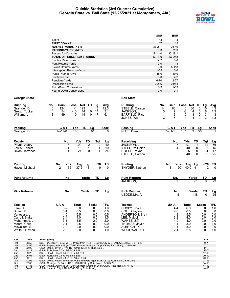### **Quickie Statistics (3rd Quarter Cumulative) Georgia State vs. Ball State (12/25/2021 at Montgomery, Ala.)**



|                                  | GSU           | <b>BSU</b>    |
|----------------------------------|---------------|---------------|
| Score                            | 48            | 13            |
| <b>FIRST DOWNS</b>               | 17            | 15            |
| <b>RUSHES-YARDS (NET)</b>        | 33-217        | 25-49         |
| <b>PASSING-YARDS (NET)</b>       | 183           | 209           |
| Passes Att-Comp-Int              | $17 - 14 - 0$ | $32 - 18 - 1$ |
| <b>TOTAL OFFENSE PLAYS-YARDS</b> | 50-400        | 57-258        |
| Fumble Returns-Yards             | $1 - 37$      | $0 - 0$       |
| <b>Punt Returns-Yards</b>        | $0 - 0$       | $1 - 3$       |
| Kickoff Returns-Yards            | $0 - 0$       | $5 - 118$     |
| Interception Returns-Yards       | $1 - 55$      | $0 - 0$       |
| Punts (Number-Avg)               | $1 - 48.0$    | $1 - 40.0$    |
| Fumbles-Lost                     | $0 - 0$       | $2 - 2$       |
| Penalties-Yards                  | $6 - 70$      | $2 - 27$      |
| Possession Time                  | 20:06         | 24:54         |
| <b>Third-Down Conversions</b>    | $5-9$         | $5 - 13$      |
| Fourth-Down Conversions          | $0 - 0$       | $0 - 1$       |

| <b>Rushing</b>                                                                                                             | Gain<br>No.                                                                        | Net TD<br>Loss                                       | Lg                                                                                  | Avg                                                               | <b>Rushing</b>                                                                                                                    | No.<br>Gain                                                                          | Net TD<br>Loss                                                                       | Lg                                                                                               | <b>Avg</b>                                                       |
|----------------------------------------------------------------------------------------------------------------------------|------------------------------------------------------------------------------------|------------------------------------------------------|-------------------------------------------------------------------------------------|-------------------------------------------------------------------|-----------------------------------------------------------------------------------------------------------------------------------|--------------------------------------------------------------------------------------|--------------------------------------------------------------------------------------|--------------------------------------------------------------------------------------------------|------------------------------------------------------------------|
| Grainger, D.<br>Gregg, Tucker<br>Williams, J.                                                                              | 124<br>$\overline{10}$<br>54<br>14<br>49<br>8                                      | 123<br>$-1$<br>44<br>$-10$<br>49<br>$\mathbf{0}$     | 48<br>1<br>0<br>14<br>$\Omega$<br>17                                                | 12.3<br>3.1<br>6.1                                                | STEELE, Carson<br>JACKSON, J.<br><b>BARFIELD, Rico</b><br>JONES, Will                                                             | $\overline{14}$<br>60<br>3<br>7<br>3<br>$\mathbf{1}$<br>3<br>5                       | $\overline{0}$<br>60<br>4<br>$-3$<br>3<br>0<br>4<br>$-1$                             | $\Omega$<br>$\overline{15}$<br>$\pmb{0}$<br>$\,6\,$<br>$\ddot{\mathbf{0}}$<br>3<br>$\Omega$<br>3 | $\overline{4}$<br>1.3<br>3<br>1.3                                |
| <b>Passing</b><br>Grainger, D.                                                                                             | $C-A-I$<br>$14 - 17 - 0$                                                           | Yds<br>TD<br>3<br>183                                | Lg<br>40                                                                            | Sack<br><sup>0</sup>                                              | Passing<br><b>PLITT.</b> Drew                                                                                                     | $C-A-I$<br>$18 - 31 - 1$                                                             | Yds<br>$\frac{TD}{3}$<br>187                                                         | Lg<br>$\overline{56}$                                                                            | <b>Sack</b>                                                      |
| Receiving<br>Payne, Aubry<br>Lewis, Robert<br>Dixon, Terrance                                                              | No.<br>8<br>1<br>1                                                                 | Yds<br>109<br>10<br>24                               | TD<br>Tgt<br>$\overline{2}$<br>$\overline{9}$<br>$\mathbf{1}$<br>1<br>$\Omega$<br>1 | Lg<br>$\overline{40}$<br>10<br>24                                 | Receiving<br>JACKSON. J.<br>TYLER, Yo'Heinz<br><b>HOHLT. Trevor</b><br>STEELE, Carson                                             | No.<br>7<br>4<br>2<br>3                                                              | TD<br>Yds<br>$\overline{97}$<br>$\mathbf{1}$<br>40<br>0<br>25<br>0<br>40<br>$\Omega$ | Tgt<br>$\overline{12}$<br>6<br>$\overline{4}$<br>3                                               | $\frac{Lg}{56}$<br>$\frac{15}{17}$<br>25                         |
| <b>Punting</b><br>Haves, Michael                                                                                           | Yds<br>No.<br>$\overline{2}$<br>$\overline{75}$                                    | Avg<br>$37.\bar{5}$                                  | In20<br>Lg<br>$\overline{48}$                                                       | ΤВ                                                                | <b>Punting</b><br>SNYDER, Nathan                                                                                                  | No.<br>Yds<br>120<br>3                                                               | Avg Lg<br>40.0<br>41                                                                 | In20<br>2                                                                                        | $\frac{TB}{0}$                                                   |
| <b>Punt Returns</b>                                                                                                        | No.                                                                                | Yards                                                | <b>TD</b>                                                                           | Lg                                                                | <b>Punt Returns</b><br>JACKSON, J.                                                                                                | No.                                                                                  | Yards                                                                                | TD<br>$\Omega$                                                                                   | $\frac{\text{Lg}}{\text{-3}}$                                    |
| <b>Kick Returns</b>                                                                                                        | No.                                                                                | Yards                                                | <b>TD</b>                                                                           | Lg                                                                | <b>Kick Returns</b><br>UZODINMA, A.                                                                                               | No.<br>5                                                                             | Yards<br>118                                                                         | TD<br>$\overline{0}$                                                                             | $\frac{\text{Lg}}{25}$                                           |
| <b>Tackles</b>                                                                                                             | UA-A                                                                               | <b>Total</b>                                         | <b>Sacks</b>                                                                        | <b>TFL</b>                                                        | <b>Tackles</b>                                                                                                                    | UA-A                                                                                 | <b>Total</b>                                                                         | <b>Sacks</b>                                                                                     | <b>TFL</b>                                                       |
| Lane, A.<br>Brown, B.<br>Veneziale, J.<br>Carroll, Blake<br>Muhammad, J.<br>Moore, Chris<br>McCollum, S.<br>White, Quavian | $8-2$<br>$6 - 1$<br>$4 - 5$<br>$2 - 4$<br>$3 - 1$<br>$2 - 1$<br>$2 - 0$<br>$2 - 0$ | 9.0<br>6.5<br>6.5<br>4.0<br>3.5<br>2.5<br>2.0<br>2.0 | 0.0<br>0.0<br>0.0<br>0.0<br>2.0<br>0.0<br>0.0<br>0.0                                | $\overline{1.0}$<br>0.0<br>0.5<br>1.5<br>2.0<br>0.0<br>0.0<br>1.0 | COSBY, Bryce<br>COLL, Clayton<br>ANDERSON, Brett<br>LEE, Malcolm<br>WAHEE, J.T.<br>THOMAS, Jaylin<br>ALBRIGHT, C.<br>WOODWARD, T. | $4 - 4$<br>$2 - 8$<br>$4 - 3$<br>$3 - 2$<br>$4 - 0$<br>$1 - 4$<br>$1 - 4$<br>$2 - 1$ | 6.0<br>6.0<br>5.5<br>4.0<br>4.0<br>3.0<br>3.0<br>2.5                                 | 0.0<br>0.0<br>0.0<br>0.0<br>0.0<br>0.0<br>0.0<br>0.0                                             | $\overline{10}$<br>0.0<br>0.0<br>0.0<br>0.0<br>1.0<br>0.0<br>1.0 |
|                                                                                                                            | Associations INC.                                                                  |                                                      |                                                                                     |                                                                   |                                                                                                                                   |                                                                                      |                                                                                      | 1.11                                                                                             |                                                                  |

| Qtr | Time  | <b>Scoring Play</b>                                                                 | V-H       |
|-----|-------|-------------------------------------------------------------------------------------|-----------|
| 1st | 08:59 | BSU - JACKSON, J. 56 yd TD PASS from PLITT, Drew (KICK by CHANOVE, Jake), 2-61 0:38 | $0 - 7$   |
| 1st | 04:55 | GSU - Payne, Aubry 18 yd TD PASS from Grainger, D. (KICK by Ruiz, Noel), 10-75 4:04 | $7 - 7$   |
| 1st | 02:02 | GSU - Denis, Javon 37 yd TD FUMB (KICK by Ruiz, Noel),                              | $14 - 7$  |
| 2nd | 14:11 | GSU - Ruiz, Noel 27 yd FG 7-24 1:48                                                 | $17 - 7$  |
| 2nd | 09:20 | BSU - LEWIS, Jacob 34 yd FG 7-30 2:06                                               | $17-10$   |
| 2nd | 06:01 | GSU - Ruiz, Noel 28 yd FG 8-65 3:19                                                 | $20 - 10$ |
| 2nd | 00:18 | BSU - LEWIS, Jacob 43 yd FG 13-53 5:43                                              | $20 - 13$ |
| 3rd | 12:05 | GSU - Lewis, Robert 10 yd TD PASS from Grainger, D. (KICK by Ruiz, Noel), 8-75 2:55 | $27-13$   |
| 3rd | 07:08 | GSU - Grainger, D. 34 yd TD RUSH (KICK by Ruiz, Noel), 7-68 3:29                    | $34 - 13$ |
| 3rd | 01:33 | GSU - Payne, Aubry 16 yd TD PASS from Grainger, D. (KICK by Ruiz, Noel), 5-71 1:37  | $41 - 13$ |
| 3rd | 00:00 | GSU - Lane, A. 55 yd TD INT (KICK by Ruiz, Noel),                                   | 48-13     |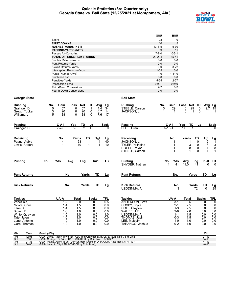### **Quickie Statistics (3rd Quarter only) Georgia State vs. Ball State (12/25/2021 at Montgomery, Ala.)**



|                                  | GSU         | <b>BSU</b>   |
|----------------------------------|-------------|--------------|
| Score                            | 28          | $\Omega$     |
| <b>FIRST DOWNS</b>               | 10          | 5            |
| <b>RUSHES-YARDS (NET)</b>        | 13-115      | $5 - 30$     |
| <b>PASSING-YARDS (NET)</b>       | 89          | 11           |
| Passes Att-Comp-Int              | $7 - 7 - 0$ | $10 - 5 - 1$ |
| <b>TOTAL OFFENSE PLAYS-YARDS</b> | 20-204      | $15 - 41$    |
| <b>Fumble Returns-Yards</b>      | $0 - 0$     | $0-0$        |
| <b>Punt Returns-Yards</b>        | $0 - 0$     | $0 - 0$      |
| Kickoff Returns-Yards            | $0 - 0$     | $3 - 72$     |
| Interception Returns-Yards       | $1 - 55$    | $0 - 0$      |
| Punts (Number-Avg)               | -0          | $1 - 41.0$   |
| Fumbles-Lost                     | $0 - 0$     | $0 - 0$      |
| Penalties-Yards                  | $5 - 55$    | $2 - 27$     |
| <b>Possession Time</b>           | 08:01       | 06:59        |
| <b>Third-Down Conversions</b>    | $2 - 2$     | $0 - 2$      |
| Fourth-Down Conversions          | $0 - 0$     | $0 - 0$      |

| <b>Rushing</b>                                                                         |                                  | No.<br>Gain                                                                                                                                                                                                                                                                                        | <b>Net</b><br>Loss                                                | TD<br>Avg                                            | Lg                                                   | <b>Rushing</b>                                                                                                                              | No.<br>Gain                                                                          | Loss<br>Net TD                                                        | Avg                                                              | $\mathsf{L}\mathsf{g}$                               |
|----------------------------------------------------------------------------------------|----------------------------------|----------------------------------------------------------------------------------------------------------------------------------------------------------------------------------------------------------------------------------------------------------------------------------------------------|-------------------------------------------------------------------|------------------------------------------------------|------------------------------------------------------|---------------------------------------------------------------------------------------------------------------------------------------------|--------------------------------------------------------------------------------------|-----------------------------------------------------------------------|------------------------------------------------------------------|------------------------------------------------------|
| Grainger, D.<br>Williams, J.                                                           | Gregg, Tucker                    | 5<br>$\overline{57}$<br>3<br>20<br>5<br>38                                                                                                                                                                                                                                                         | 57<br>0<br>20<br>0<br>38<br>$\Omega$                              | 11.4<br>0<br>6.7<br>0<br>7.6                         | $\overline{34}$<br>14<br>17                          | STEELE, Carson<br>JACKSON, J.                                                                                                               | 3<br>29<br>1                                                                         | 29<br>$\Omega$<br>$\Omega$<br>$\mathbf 1$                             | $\overline{0}$<br>9.7<br>$\Omega$                                | $\overline{15}$<br>1<br>-1                           |
| <b>Passing</b><br>Grainger, D.                                                         |                                  | $C-A-I$<br>$7 - 7 - 0$                                                                                                                                                                                                                                                                             | Yds<br>TD<br>2<br>89                                              | Lg<br>40                                             | <b>Sack</b><br><sup>0</sup>                          | <b>Passing</b><br>PLITT. Drew                                                                                                               | $C-A-I$<br>$5 - 10 - 1$                                                              | Yds<br>TD<br>$\overline{11}$                                          | Lg                                                               | <b>Sack</b>                                          |
| Receiving<br>Payne, Aubry<br>Lewis, Robert                                             |                                  | No.<br>4<br>1                                                                                                                                                                                                                                                                                      | Yards<br>63<br>10                                                 | TD<br>Tat<br>4<br>$\mathbf 1$<br>1<br>1              | Lg<br>$\overline{40}$<br>10                          | Receiving<br>JACKSON, J.<br><b>TYLER, Yo'Heinz</b><br><b>HOHLT. Trevor</b><br>STEELE, Carson                                                | No.                                                                                  | Yards<br>-1<br>$\begin{smallmatrix} 3 \\ 8 \end{smallmatrix}$<br>$-1$ | TD<br>Tgt<br>$\overline{2}$<br>0<br>3<br>0<br>0<br>$\Omega$<br>1 | <u>Lg</u><br>-1<br>$\frac{3}{8}$<br>$-1$             |
| <b>Punting</b>                                                                         |                                  | No.<br>Yds                                                                                                                                                                                                                                                                                         | Avg<br>Lng                                                        | In20                                                 | TВ                                                   | <b>Punting</b><br>SNYDER, Nathan                                                                                                            | Yds<br>No.<br>41<br>1                                                                | Avg<br>41.0                                                           | In20<br>Lng<br>41<br>U                                           | $\frac{TB}{0}$                                       |
|                                                                                        | <b>Punt Returns</b>              | No.                                                                                                                                                                                                                                                                                                |                                                                   | <b>TD</b><br>Yards                                   | Lg                                                   | <b>Punt Returns</b>                                                                                                                         | No.                                                                                  | Yards                                                                 | <b>TD</b>                                                        | Lg                                                   |
| <b>Kick Returns</b>                                                                    |                                  | No.                                                                                                                                                                                                                                                                                                |                                                                   | Yards<br>TD                                          | Lg                                                   | <b>Kick Returns</b><br>UZODINMA, A.                                                                                                         | No.<br>3                                                                             | Yards                                                                 | TD<br>72<br>$\overline{0}$                                       | $\frac{\text{Lg}}{25}$                               |
| <b>Tackles</b>                                                                         |                                  | UA-A                                                                                                                                                                                                                                                                                               | <b>Total</b>                                                      | <b>Sacks</b>                                         | TFL                                                  | <b>Tackles</b>                                                                                                                              | UA-A                                                                                 | <b>Total</b>                                                          | <b>Sacks</b>                                                     | <b>TFL</b>                                           |
| Veneziale, J.<br>Moore, Chris<br>Lane, A.<br>Brown, B.<br>Tate, Jalen<br>Lane, Antoine | White, Quavian<br>Gore, Thomas   | $1 - 2$<br>$1 - 1$<br>$1 - 1$<br>$1 - 0$<br>$1 - 0$<br>$1 - 0$<br>$1 - 0$<br>$1 - 0$                                                                                                                                                                                                               | $\overline{2.0}$<br>1.5<br>1.5<br>1.0<br>1.0<br>1.0<br>1.0<br>1.0 | 0.0<br>0.0<br>0.0<br>0.0<br>0.0<br>0.0<br>0.0<br>0.0 | 0.5<br>0.0<br>0.0<br>0.0<br>1.0<br>0.0<br>0.0<br>0.0 | <b>ANDERSON, Brett</b><br>COSBY, Bryce<br>COLL, Clayton<br>WAHEE, J.T.<br>UZODINMA, A.<br>THOMAS, Jaylin<br>LEE, Malcolm<br>TARANGO, Joshua | $3 - 1$<br>$2 - 1$<br>$1 - 3$<br>$2 - 0$<br>$1 - 1$<br>$0 - 3$<br>$1 - 0$<br>$0 - 2$ | $\overline{3.5}$<br>2.5<br>2.5<br>2.0<br>1.5<br>1.5<br>1.0<br>1.0     | 0.0<br>0.0<br>0.0<br>0.0<br>0.0<br>0.0<br>0.0<br>0.0             | 0.0<br>0.0<br>0.0<br>0.0<br>0.0<br>0.0<br>0.0<br>0.0 |
| Qtr                                                                                    | Time                             | <b>Scoring Play</b>                                                                                                                                                                                                                                                                                |                                                                   |                                                      |                                                      |                                                                                                                                             |                                                                                      |                                                                       | V-H                                                              |                                                      |
| 3rd<br>3rd<br>3rd<br>3rd                                                               | 12:05<br>07:08<br>01:33<br>00:00 | GSU - Lewis, Robert 10 yd TD PASS from Grainger, D. (KICK by Ruiz, Noel), 8-75 2:55<br>GSU - Grainger, D. 34 yd TD RUSH (KICK by Ruiz, Noel), 7-68 3:29<br>GSU - Payne, Aubry 16 yd TD PASS from Grainger, D. (KICK by Ruiz, Noel), 5-71 1:37<br>GSU - Lane, A. 55 yd TD INT (KICK by Ruiz, Noel), |                                                                   |                                                      |                                                      |                                                                                                                                             |                                                                                      |                                                                       | $27-13$<br>$34-13$<br>$41 - 13$<br>48-13                         |                                                      |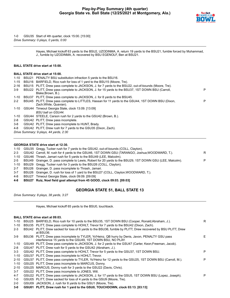

1-0 GSU35 Start of 4th quarter, clock 15:00. [15:00] *Drive Summary: 0 plays, 0 yards, 0:00*

> Hayes, Michael kickoff 63 yards to the BSU2, UZODINMA, A. return 19 yards to the BSU21, fumble forced by Muhammad, J., fumble by UZODINMA, A. recovered by BSU EGENOLF, Ben at BSU21.

#### **BALL STATE drive start at 15:00.**

#### **BALL STATE drive start at 15:00.**

- 1-10 BSU21 PENALTY BSU substitution infraction 5 yards to the BSU16.
- 1-15 BSU16 BARFIELD, Rico rush for loss of 1 yard to the BSU15 (Moore, Tre).

| $2 - 16$ | BSU15 PLITT, Drew pass complete to JACKSON, J. for 7 yards to the BSU22, out-of-bounds (Moore, Tre).                         |   |
|----------|------------------------------------------------------------------------------------------------------------------------------|---|
| $3-9$    | BSU22 PLITT, Drew pass complete to JACKSON, J. for 15 yards to the BSU37, 1ST DOWN BSU (Carroll,<br>Blake:Brown, B.).        | P |
| 1-10     | BSU37 PLITT, Drew pass complete to JACKSON, J. for 8 yards to the BSU45.                                                     |   |
| $2 - 2$  | BSU45 PLITT, Drew pass complete to LITTLES, Hassan for 11 yards to the GSU44, 1ST DOWN BSU (Dixon,<br>Zach; White, Quavian). | P |
| 1-10     | GSU44 Timeout Georgia State, clock 13:09. [13:09]<br>BSU ball on GSU44.                                                      |   |
| 1-10     | GSU44 STEELE, Carson rush for 2 yards to the GSU42 (Brown, B.).                                                              |   |
|          |                                                                                                                              |   |
| 2-8      | GSU42 PLITT, Drew pass incomplete.                                                                                           |   |
| 3-8      | GSU42 PLITT, Drew pass incomplete to HUNT, Brady.                                                                            |   |
|          | 4.0 COU42 DUITT Drow rugh for 7 varde to the COU25 (Diven Zoob)                                                              |   |

- GSU42 PLITT, Drew rush for 7 yards to the GSU35 (Dixon, Zacn).
- *Drive Summary: 9 plays, 44 yards, 2:30*

### **GEORGIA STATE drive start at 12:30.**

|     | 1-10 GSU35 Gregg, Tucker rush for 7 yards to the GSU42, out-of-bounds (COLL, Clayton).                        |   |
|-----|---------------------------------------------------------------------------------------------------------------|---|
|     | 2-3 GSU42 Carroll, M. rush for 4 yards to the GSU46, 1ST DOWN GSU (TARANGO, Joshua;WOODWARD, T.).             | R |
|     | 1-10 GSU46 Thrash, Jamari rush for 5 yards to the BSU49 (LEE, Malcolm).                                       |   |
|     | 2-5 BSU49 Grainger, D. pass complete to Lewis, Robert for 20 yards to the BSU29, 1ST DOWN GSU (LEE, Malcolm). | P |
|     | 1-10 BSU29 Gregg, Tucker rush for 3 yards to the BSU26 (COLL, Clayton).                                       |   |
| 2-7 | BSU26 Grainger, D. pass incomplete to Thrash, Jamari.                                                         |   |
| 3-7 | BSU26 Grainger, D. rush for loss of 1 yard to the BSU27 (COLL, Clayton; WOODWARD, T.).                        |   |

- 4-8 BSU27 Timeout Georgia State, clock 09:09. [09:09]
- **4-8 BSU27 Ruiz, Noel field goal attempt from 45 GOOD, clock 09:03. [09:03]**

#### **GEORGIA STATE 51, BALL STATE 13**

*Drive Summary: 8 plays, 38 yards, 3:27*

Hayes, Michael kickoff 65 yards to the BSU0, touchback.

#### **BALL STATE drive start at 09:03.**

| $1 - 10$<br>$1 - 10$ |       | BSU25 BARFIELD, Rico rush for 10 yards to the BSU35, 1ST DOWN BSU (Cooper, Ronald; Abraham, J.).                     | R  |
|----------------------|-------|----------------------------------------------------------------------------------------------------------------------|----|
|                      |       | BSU35 PLITT, Drew pass complete to HOHLT, Trevor for 7 yards to the BSU42 (Dixon, Zach).                             |    |
| $2 - 3$              | BSU42 | PLITT, Drew sacked for loss of 6 yards to the BSU36, fumble by PLITT, Drew recovered by BSU PLITT, Drew<br>at BSU36. |    |
| $3-9$                |       | BSU36 PLITT, Drew pass incomplete to TYLER, Yo'Heinz, QB hurry by Denis, Javon, PENALTY GSU pass                     | E. |
|                      |       | interference 15 yards to the GSU49, 1ST DOWN BSU, NO PLAY.                                                           |    |
| 1-10                 |       | GSU49 PLITT, Drew pass complete to JACKSON, J. for 2 yards to the GSU47 (Carter, Keon; Freeman, Jacob).              |    |
| $2 - 8$              |       | GSU47 PLITT, Drew rush for 5 yards to the GSU42 (Abraham, J.).                                                       |    |
| $3 - 3$              |       | GSU42 PLITT, Drew pass complete to HOHLT, Trevor for 5 yards to the GSU37, 1ST DOWN BSU.                             | P  |
| $1 - 10$             |       | GSU37 PLITT, Drew pass incomplete to HOHLT, Trevor.                                                                  |    |
| $2 - 10$             |       | GSU37 PLITT, Drew pass complete to TYLER, Yo'Heinz for 12 yards to the GSU25, 1ST DOWN BSU (Carroll, M.).            | P  |
| $1 - 10$             |       | GSU25 PLITT, Drew pass incomplete to MARCUS, Donny.                                                                  |    |
| $2 - 10$             |       | GSU25 MARCUS, Donny rush for 3 yards to the GSU22 (Davis, Chris).                                                    |    |
| $3 - 7$              |       | GSU22 PLITT, Drew pass incomplete to JONES, Will.                                                                    |    |
| $4 - 7$              |       | GSU22 PLITT, Drew pass complete to JACKSON, J. for 17 yards to the GSU5, 1ST DOWN BSU (Lopez, Joseph).               | P  |
| 1-0                  |       | GSU05 PLITT, Drew sacked for loss of 4 yards to the GSU9 (Moore, Tre).                                               |    |
| $2 - 0$              |       | GSU09 JACKSON, J. rush for 8 yards to the GSU1 (Moore, Tre).                                                         |    |

**3-0 GSU01 PLITT, Drew rush for 1 yard to the GSU0, TOUCHDOWN, clock 03:13. [03:13]**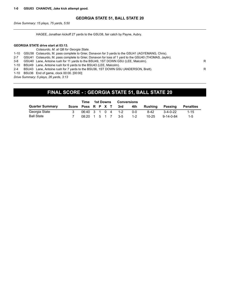### **GEORGIA STATE 51, BALL STATE 20**

*Drive Summary: 15 plays, 75 yards, 5:50*

HAGEE, Jonathan kickoff 27 yards to the GSU38, fair catch by Payne, Aubry.

#### **GEORGIA STATE drive start at 03:13.**

|         | Colasurdo, M. at QB for Georgia State.                                                                |   |
|---------|-------------------------------------------------------------------------------------------------------|---|
|         | 1-10 GSU38 Colasurdo, M. pass complete to Grier, Donavon for 3 yards to the GSU41 (AGYEMANG, Chris).  |   |
| $2 - 7$ | GSU41 Colasurdo, M. pass complete to Grier, Donavon for loss of 1 yard to the GSU40 (THOMAS, Jaylin). |   |
|         | 3-8 GSU40 Lane, Antoine rush for 11 yards to the BSU49, 1ST DOWN GSU (LEE, Malcolm).                  | R |
|         | 1-10 BSU49 Lane, Antoine rush for 6 yards to the BSU43 (LEE, Malcolm).                                |   |
| $2 - 4$ | BSU43 Lane, Antoine rush for 7 yards to the BSU36, 1ST DOWN GSU (ANDERSON, Brett).                    | R |
|         | 1-10 BSU36 End of game, clock 00:00. [00:00]                                                          |   |
|         | Drive Summany 5 plays 26 vards 3:13                                                                   |   |

*Drive Summary: 5 plays, 26 yards, 3:13*

# **FINAL SCORE - : GEORGIA STATE 51, BALL STATE 20**

|                        |                    | Time                                              | 1st Downs |  |  | <b>Conversions</b>           |            |           |                   |                  |
|------------------------|--------------------|---------------------------------------------------|-----------|--|--|------------------------------|------------|-----------|-------------------|------------------|
| <b>Quarter Summary</b> | Score Poss R P X T |                                                   |           |  |  | $\overline{\phantom{a}}$ 3rd | 4th        | Rushina   | Passing           | <b>Penalties</b> |
| Georgia State          |                    | $06:40 \quad 3 \quad 1 \quad 0 \quad 4 \quad 1-2$ |           |  |  |                              | <u>ດ-ດ</u> | $8 - 42$  | $3-4-0-22$        | $1 - 15$         |
| <b>Ball State</b>      |                    | $08:20 \quad 1 \quad 5 \quad 1 \quad 7 \quad 3-5$ |           |  |  |                              | $1 - 2$    | $10 - 25$ | $9 - 14 - 0 - 84$ | $1 - 5$          |